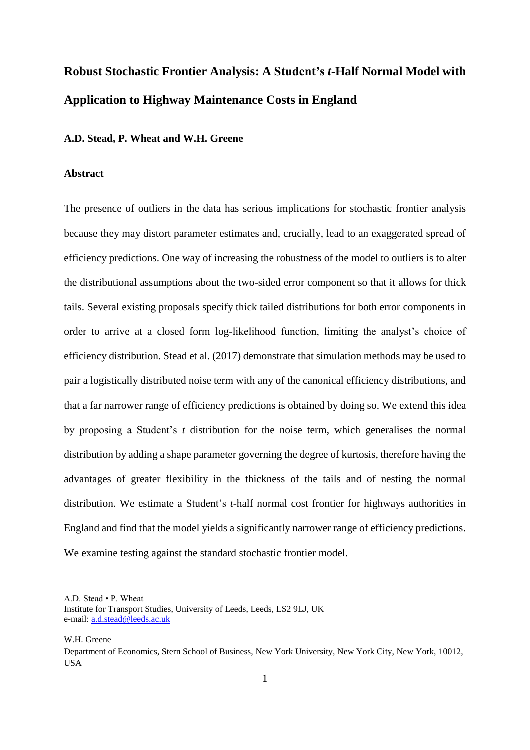# **Robust Stochastic Frontier Analysis: A Student's** *t***-Half Normal Model with Application to Highway Maintenance Costs in England**

#### **A.D. Stead, P. Wheat and W.H. Greene**

#### **Abstract**

The presence of outliers in the data has serious implications for stochastic frontier analysis because they may distort parameter estimates and, crucially, lead to an exaggerated spread of efficiency predictions. One way of increasing the robustness of the model to outliers is to alter the distributional assumptions about the two-sided error component so that it allows for thick tails. Several existing proposals specify thick tailed distributions for both error components in order to arrive at a closed form log-likelihood function, limiting the analyst's choice of efficiency distribution. Stead et al. (2017) demonstrate that simulation methods may be used to pair a logistically distributed noise term with any of the canonical efficiency distributions, and that a far narrower range of efficiency predictions is obtained by doing so. We extend this idea by proposing a Student's *t* distribution for the noise term, which generalises the normal distribution by adding a shape parameter governing the degree of kurtosis, therefore having the advantages of greater flexibility in the thickness of the tails and of nesting the normal distribution. We estimate a Student's *t*-half normal cost frontier for highways authorities in England and find that the model yields a significantly narrower range of efficiency predictions. We examine testing against the standard stochastic frontier model.

W.H. Greene

A.D. Stead • P. Wheat

Institute for Transport Studies, University of Leeds, Leeds, LS2 9LJ, UK e-mail: [a.d.stead@leeds.ac.uk](mailto:a.d.stead@leeds.ac.uk)

Department of Economics, Stern School of Business, New York University, New York City, New York, 10012, USA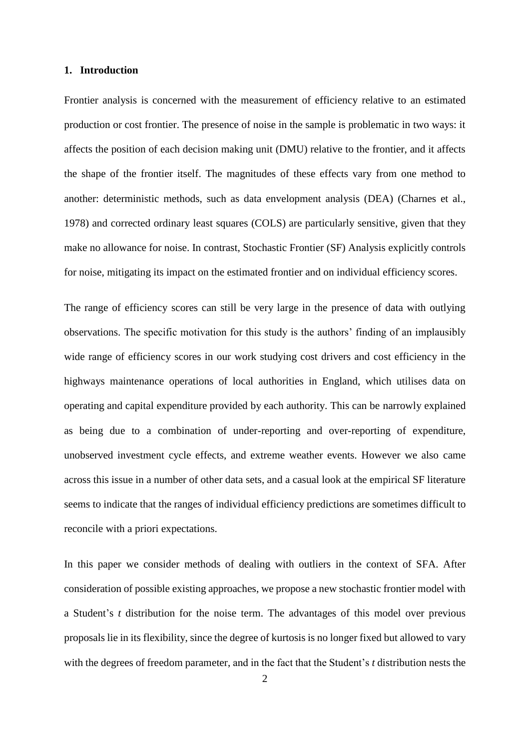#### <span id="page-1-0"></span>**1. Introduction**

Frontier analysis is concerned with the measurement of efficiency relative to an estimated production or cost frontier. The presence of noise in the sample is problematic in two ways: it affects the position of each decision making unit (DMU) relative to the frontier, and it affects the shape of the frontier itself. The magnitudes of these effects vary from one method to another: deterministic methods, such as data envelopment analysis (DEA) (Charnes et al., 1978) and corrected ordinary least squares (COLS) are particularly sensitive, given that they make no allowance for noise. In contrast, Stochastic Frontier (SF) Analysis explicitly controls for noise, mitigating its impact on the estimated frontier and on individual efficiency scores.

The range of efficiency scores can still be very large in the presence of data with outlying observations. The specific motivation for this study is the authors' finding of an implausibly wide range of efficiency scores in our work studying cost drivers and cost efficiency in the highways maintenance operations of local authorities in England, which utilises data on operating and capital expenditure provided by each authority. This can be narrowly explained as being due to a combination of under-reporting and over-reporting of expenditure, unobserved investment cycle effects, and extreme weather events. However we also came across this issue in a number of other data sets, and a casual look at the empirical SF literature seems to indicate that the ranges of individual efficiency predictions are sometimes difficult to reconcile with a priori expectations.

In this paper we consider methods of dealing with outliers in the context of SFA. After consideration of possible existing approaches, we propose a new stochastic frontier model with a Student's *t* distribution for the noise term. The advantages of this model over previous proposals lie in its flexibility, since the degree of kurtosis is no longer fixed but allowed to vary with the degrees of freedom parameter, and in the fact that the Student's *t* distribution nests the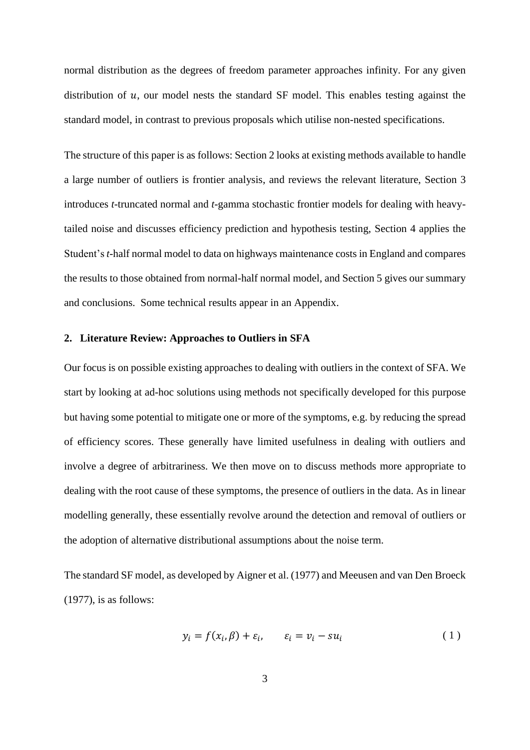normal distribution as the degrees of freedom parameter approaches infinity. For any given distribution of  $u$ , our model nests the standard SF model. This enables testing against the standard model, in contrast to previous proposals which utilise non-nested specifications.

The structure of this paper is as follows: Section [2](#page-2-0) looks at existing methods available to handle a large number of outliers is frontier analysis, and reviews the relevant literature, Section [3](#page-13-0) introduces *t*-truncated normal and *t*-gamma stochastic frontier models for dealing with heavytailed noise and discusses efficiency prediction and hypothesis testing, Section [4](#page-20-0) applies the Student's *t*-half normal model to data on highways maintenance costs in England and compares the results to those obtained from normal-half normal model, and Section [5](#page-28-0) gives our summary and conclusions. Some technical results appear in an Appendix.

#### <span id="page-2-0"></span>**2. Literature Review: Approaches to Outliers in SFA**

Our focus is on possible existing approaches to dealing with outliers in the context of SFA. We start by looking at ad-hoc solutions using methods not specifically developed for this purpose but having some potential to mitigate one or more of the symptoms, e.g. by reducing the spread of efficiency scores. These generally have limited usefulness in dealing with outliers and involve a degree of arbitrariness. We then move on to discuss methods more appropriate to dealing with the root cause of these symptoms, the presence of outliers in the data. As in linear modelling generally, these essentially revolve around the detection and removal of outliers or the adoption of alternative distributional assumptions about the noise term.

The standard SF model, as developed by Aigner et al. (1977) and Meeusen and van Den Broeck (1977), is as follows:

$$
y_i = f(x_i, \beta) + \varepsilon_i, \qquad \varepsilon_i = v_i - s u_i \tag{1}
$$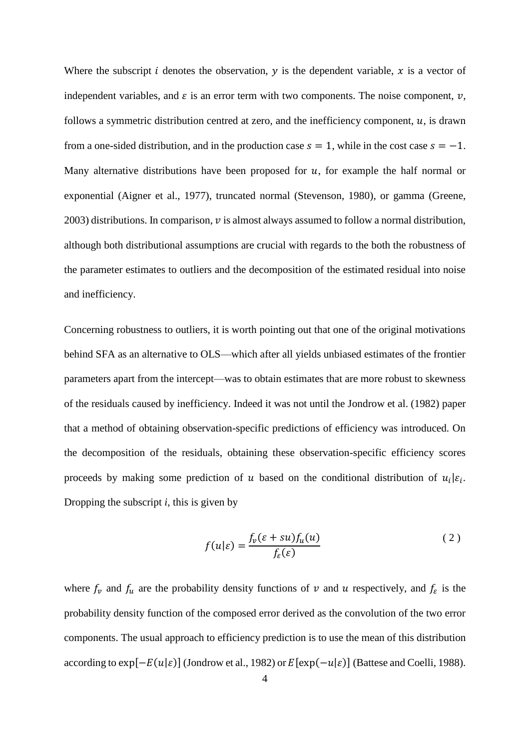Where the subscript *i* denotes the observation,  $y$  is the dependent variable,  $x$  is a vector of independent variables, and  $\varepsilon$  is an error term with two components. The noise component,  $v$ , follows a symmetric distribution centred at zero, and the inefficiency component,  $u$ , is drawn from a one-sided distribution, and in the production case  $s = 1$ , while in the cost case  $s = -1$ . Many alternative distributions have been proposed for  $u$ , for example the half normal or exponential (Aigner et al., 1977), truncated normal (Stevenson, 1980), or gamma (Greene, 2003) distributions. In comparison,  $\nu$  is almost always assumed to follow a normal distribution, although both distributional assumptions are crucial with regards to the both the robustness of the parameter estimates to outliers and the decomposition of the estimated residual into noise and inefficiency.

Concerning robustness to outliers, it is worth pointing out that one of the original motivations behind SFA as an alternative to OLS—which after all yields unbiased estimates of the frontier parameters apart from the intercept—was to obtain estimates that are more robust to skewness of the residuals caused by inefficiency. Indeed it was not until the Jondrow et al. (1982) paper that a method of obtaining observation-specific predictions of efficiency was introduced. On the decomposition of the residuals, obtaining these observation-specific efficiency scores proceeds by making some prediction of u based on the conditional distribution of  $u_i | \varepsilon_i$ . Dropping the subscript *i*, this is given by

$$
f(u|\varepsilon) = \frac{f_v(\varepsilon + su)f_u(u)}{f_\varepsilon(\varepsilon)}
$$
 (2)

where  $f_\nu$  and  $f_u$  are the probability density functions of  $\nu$  and  $u$  respectively, and  $f_\varepsilon$  is the probability density function of the composed error derived as the convolution of the two error components. The usual approach to efficiency prediction is to use the mean of this distribution according to  $\exp[-E(u|\varepsilon)]$  (Jondrow et al., 1982) or  $E[\exp(-u|\varepsilon)]$  (Battese and Coelli, 1988).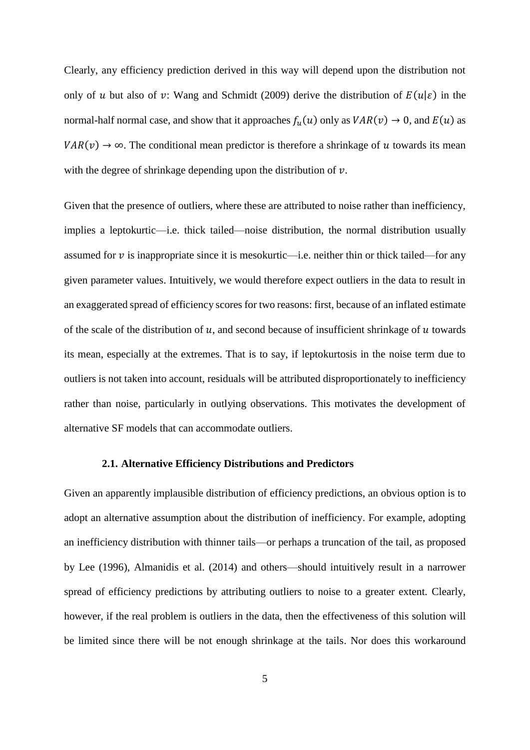Clearly, any efficiency prediction derived in this way will depend upon the distribution not only of u but also of v: Wang and Schmidt (2009) derive the distribution of  $E(u|\varepsilon)$  in the normal-half normal case, and show that it approaches  $f_u(u)$  only as  $VAR(v) \rightarrow 0$ , and  $E(u)$  as  $VAR(v) \rightarrow \infty$ . The conditional mean predictor is therefore a shrinkage of u towards its mean with the degree of shrinkage depending upon the distribution of  $\nu$ .

Given that the presence of outliers, where these are attributed to noise rather than inefficiency, implies a leptokurtic—i.e. thick tailed—noise distribution, the normal distribution usually assumed for  $\nu$  is inappropriate since it is mesokurtic—i.e. neither thin or thick tailed—for any given parameter values. Intuitively, we would therefore expect outliers in the data to result in an exaggerated spread of efficiency scores for two reasons: first, because of an inflated estimate of the scale of the distribution of  $u$ , and second because of insufficient shrinkage of  $u$  towards its mean, especially at the extremes. That is to say, if leptokurtosis in the noise term due to outliers is not taken into account, residuals will be attributed disproportionately to inefficiency rather than noise, particularly in outlying observations. This motivates the development of alternative SF models that can accommodate outliers.

# **2.1. Alternative Efficiency Distributions and Predictors**

<span id="page-4-0"></span>Given an apparently implausible distribution of efficiency predictions, an obvious option is to adopt an alternative assumption about the distribution of inefficiency. For example, adopting an inefficiency distribution with thinner tails—or perhaps a truncation of the tail, as proposed by Lee (1996), Almanidis et al. (2014) and others—should intuitively result in a narrower spread of efficiency predictions by attributing outliers to noise to a greater extent. Clearly, however, if the real problem is outliers in the data, then the effectiveness of this solution will be limited since there will be not enough shrinkage at the tails. Nor does this workaround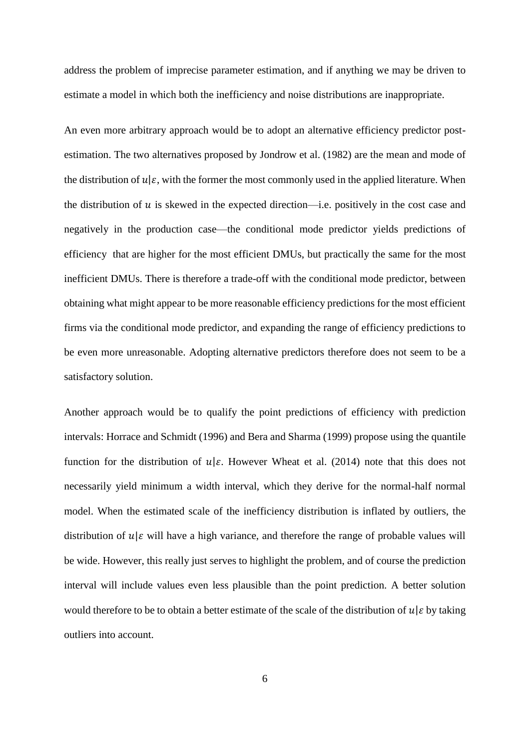address the problem of imprecise parameter estimation, and if anything we may be driven to estimate a model in which both the inefficiency and noise distributions are inappropriate.

An even more arbitrary approach would be to adopt an alternative efficiency predictor postestimation. The two alternatives proposed by Jondrow et al. (1982) are the mean and mode of the distribution of  $u|\varepsilon$ , with the former the most commonly used in the applied literature. When the distribution of  $u$  is skewed in the expected direction—i.e. positively in the cost case and negatively in the production case—the conditional mode predictor yields predictions of efficiency that are higher for the most efficient DMUs, but practically the same for the most inefficient DMUs. There is therefore a trade-off with the conditional mode predictor, between obtaining what might appear to be more reasonable efficiency predictions for the most efficient firms via the conditional mode predictor, and expanding the range of efficiency predictions to be even more unreasonable. Adopting alternative predictors therefore does not seem to be a satisfactory solution.

Another approach would be to qualify the point predictions of efficiency with prediction intervals: Horrace and Schmidt (1996) and Bera and Sharma (1999) propose using the quantile function for the distribution of  $u|\varepsilon$ . However Wheat et al. (2014) note that this does not necessarily yield minimum a width interval, which they derive for the normal-half normal model. When the estimated scale of the inefficiency distribution is inflated by outliers, the distribution of  $u | \varepsilon$  will have a high variance, and therefore the range of probable values will be wide. However, this really just serves to highlight the problem, and of course the prediction interval will include values even less plausible than the point prediction. A better solution would therefore to be to obtain a better estimate of the scale of the distribution of  $u | \varepsilon$  by taking outliers into account.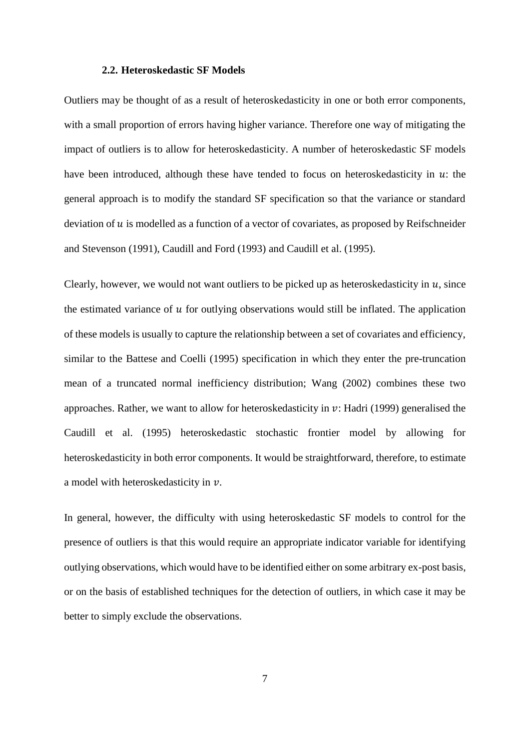#### **2.2. Heteroskedastic SF Models**

<span id="page-6-0"></span>Outliers may be thought of as a result of heteroskedasticity in one or both error components, with a small proportion of errors having higher variance. Therefore one way of mitigating the impact of outliers is to allow for heteroskedasticity. A number of heteroskedastic SF models have been introduced, although these have tended to focus on heteroskedasticity in  $u$ : the general approach is to modify the standard SF specification so that the variance or standard deviation of  $u$  is modelled as a function of a vector of covariates, as proposed by Reifschneider and Stevenson (1991), Caudill and Ford (1993) and Caudill et al. (1995).

Clearly, however, we would not want outliers to be picked up as heteroskedasticity in  $u$ , since the estimated variance of  $u$  for outlying observations would still be inflated. The application of these models is usually to capture the relationship between a set of covariates and efficiency, similar to the Battese and Coelli (1995) specification in which they enter the pre-truncation mean of a truncated normal inefficiency distribution; Wang (2002) combines these two approaches. Rather, we want to allow for heteroskedasticity in  $v$ : Hadri (1999) generalised the Caudill et al. (1995) heteroskedastic stochastic frontier model by allowing for heteroskedasticity in both error components. It would be straightforward, therefore, to estimate a model with heteroskedasticity in  $\nu$ .

In general, however, the difficulty with using heteroskedastic SF models to control for the presence of outliers is that this would require an appropriate indicator variable for identifying outlying observations, which would have to be identified either on some arbitrary ex-post basis, or on the basis of established techniques for the detection of outliers, in which case it may be better to simply exclude the observations.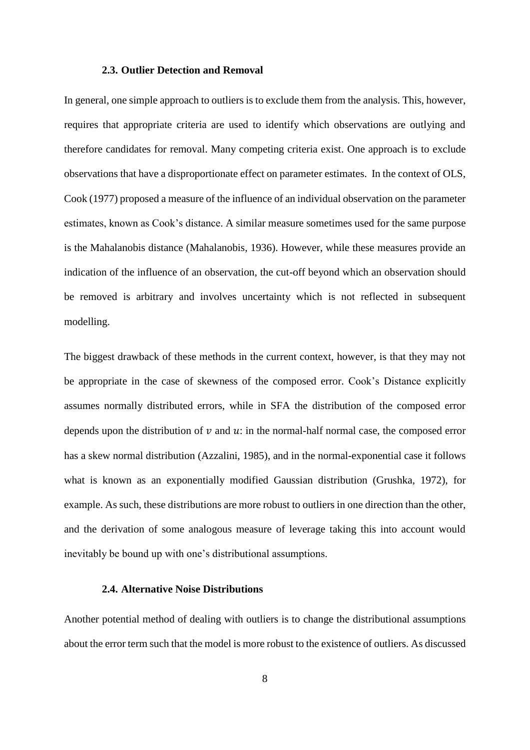#### **2.3. Outlier Detection and Removal**

In general, one simple approach to outliers is to exclude them from the analysis. This, however, requires that appropriate criteria are used to identify which observations are outlying and therefore candidates for removal. Many competing criteria exist. One approach is to exclude observations that have a disproportionate effect on parameter estimates. In the context of OLS, Cook (1977) proposed a measure of the influence of an individual observation on the parameter estimates, known as Cook's distance. A similar measure sometimes used for the same purpose is the Mahalanobis distance (Mahalanobis, 1936). However, while these measures provide an indication of the influence of an observation, the cut-off beyond which an observation should be removed is arbitrary and involves uncertainty which is not reflected in subsequent modelling.

The biggest drawback of these methods in the current context, however, is that they may not be appropriate in the case of skewness of the composed error. Cook's Distance explicitly assumes normally distributed errors, while in SFA the distribution of the composed error depends upon the distribution of  $\nu$  and  $\mu$ : in the normal-half normal case, the composed error has a skew normal distribution (Azzalini, 1985), and in the normal-exponential case it follows what is known as an exponentially modified Gaussian distribution (Grushka, 1972), for example. As such, these distributions are more robust to outliers in one direction than the other, and the derivation of some analogous measure of leverage taking this into account would inevitably be bound up with one's distributional assumptions.

## **2.4. Alternative Noise Distributions**

Another potential method of dealing with outliers is to change the distributional assumptions about the error term such that the model is more robust to the existence of outliers. As discussed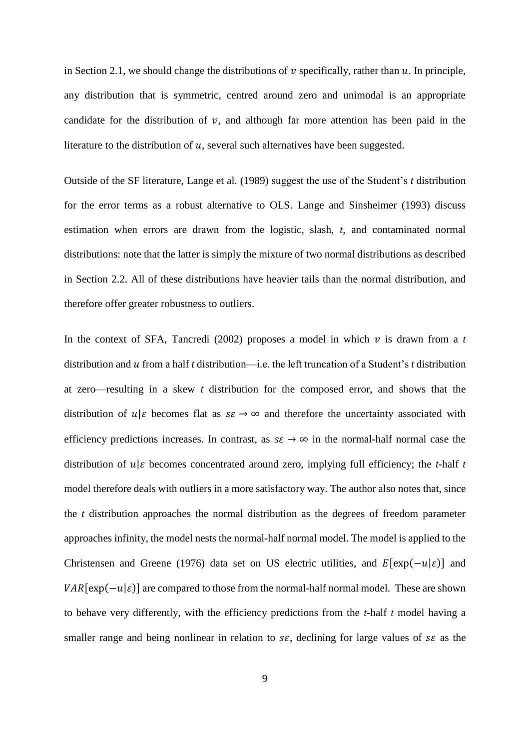in Section [2.1,](#page-4-0) we should change the distributions of  $\nu$  specifically, rather than  $u$ . In principle, any distribution that is symmetric, centred around zero and unimodal is an appropriate candidate for the distribution of  $v$ , and although far more attention has been paid in the literature to the distribution of  $u$ , several such alternatives have been suggested.

Outside of the SF literature, Lange et al. (1989) suggest the use of the Student's *t* distribution for the error terms as a robust alternative to OLS. Lange and Sinsheimer (1993) discuss estimation when errors are drawn from the logistic, slash, *t*, and contaminated normal distributions: note that the latter is simply the mixture of two normal distributions as described in Section [2.2.](#page-6-0) All of these distributions have heavier tails than the normal distribution, and therefore offer greater robustness to outliers.

In the context of SFA, Tancredi (2002) proposes a model in which  $\nu$  is drawn from a  $t$ distribution and u from a half *t* distribution—i.e. the left truncation of a Student's *t* distribution at zero—resulting in a skew *t* distribution for the composed error, and shows that the distribution of  $u | \varepsilon$  becomes flat as  $s \varepsilon \to \infty$  and therefore the uncertainty associated with efficiency predictions increases. In contrast, as  $s\epsilon \to \infty$  in the normal-half normal case the distribution of  $u | \varepsilon$  becomes concentrated around zero, implying full efficiency; the *t*-half *t* model therefore deals with outliers in a more satisfactory way. The author also notes that, since the *t* distribution approaches the normal distribution as the degrees of freedom parameter approaches infinity, the model nests the normal-half normal model. The model is applied to the Christensen and Greene (1976) data set on US electric utilities, and  $E[\exp(-u|\varepsilon)]$  and  $VAR[exp(-u|\varepsilon)]$  are compared to those from the normal-half normal model. These are shown to behave very differently, with the efficiency predictions from the *t*-half *t* model having a smaller range and being nonlinear in relation to  $s\epsilon$ , declining for large values of  $s\epsilon$  as the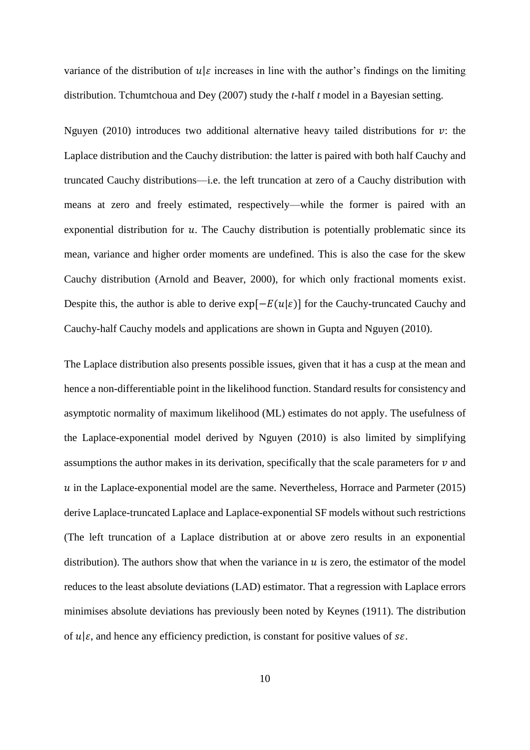variance of the distribution of  $u | \varepsilon$  increases in line with the author's findings on the limiting distribution. Tchumtchoua and Dey (2007) study the *t*-half *t* model in a Bayesian setting.

Nguyen (2010) introduces two additional alternative heavy tailed distributions for  $v$ : the Laplace distribution and the Cauchy distribution: the latter is paired with both half Cauchy and truncated Cauchy distributions—i.e. the left truncation at zero of a Cauchy distribution with means at zero and freely estimated, respectively—while the former is paired with an exponential distribution for  $u$ . The Cauchy distribution is potentially problematic since its mean, variance and higher order moments are undefined. This is also the case for the skew Cauchy distribution (Arnold and Beaver, 2000), for which only fractional moments exist. Despite this, the author is able to derive  $exp[-E(u|\varepsilon)]$  for the Cauchy-truncated Cauchy and Cauchy-half Cauchy models and applications are shown in Gupta and Nguyen (2010).

The Laplace distribution also presents possible issues, given that it has a cusp at the mean and hence a non-differentiable point in the likelihood function. Standard results for consistency and asymptotic normality of maximum likelihood (ML) estimates do not apply. The usefulness of the Laplace-exponential model derived by Nguyen (2010) is also limited by simplifying assumptions the author makes in its derivation, specifically that the scale parameters for  $\nu$  and  $u$  in the Laplace-exponential model are the same. Nevertheless, Horrace and Parmeter (2015) derive Laplace-truncated Laplace and Laplace-exponential SF models without such restrictions (The left truncation of a Laplace distribution at or above zero results in an exponential distribution). The authors show that when the variance in  $u$  is zero, the estimator of the model reduces to the least absolute deviations (LAD) estimator. That a regression with Laplace errors minimises absolute deviations has previously been noted by Keynes (1911). The distribution of  $u|\varepsilon$ , and hence any efficiency prediction, is constant for positive values of s $\varepsilon$ .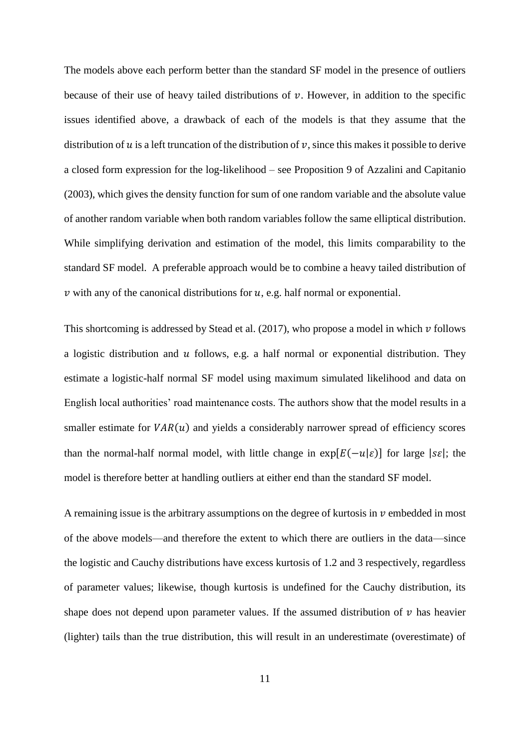The models above each perform better than the standard SF model in the presence of outliers because of their use of heavy tailed distributions of  $\nu$ . However, in addition to the specific issues identified above, a drawback of each of the models is that they assume that the distribution of u is a left truncation of the distribution of v, since this makes it possible to derive a closed form expression for the log-likelihood – see Proposition 9 of Azzalini and Capitanio (2003), which gives the density function for sum of one random variable and the absolute value of another random variable when both random variables follow the same elliptical distribution. While simplifying derivation and estimation of the model, this limits comparability to the standard SF model. A preferable approach would be to combine a heavy tailed distribution of  $\nu$  with any of the canonical distributions for  $u$ , e.g. half normal or exponential.

This shortcoming is addressed by Stead et al.  $(2017)$ , who propose a model in which  $\nu$  follows a logistic distribution and  $u$  follows, e.g. a half normal or exponential distribution. They estimate a logistic-half normal SF model using maximum simulated likelihood and data on English local authorities' road maintenance costs. The authors show that the model results in a smaller estimate for  $VAR(u)$  and yields a considerably narrower spread of efficiency scores than the normal-half normal model, with little change in  $exp[E(-u|\varepsilon)]$  for large  $|s\varepsilon|$ ; the model is therefore better at handling outliers at either end than the standard SF model.

A remaining issue is the arbitrary assumptions on the degree of kurtosis in  $\nu$  embedded in most of the above models—and therefore the extent to which there are outliers in the data—since the logistic and Cauchy distributions have excess kurtosis of 1.2 and 3 respectively, regardless of parameter values; likewise, though kurtosis is undefined for the Cauchy distribution, its shape does not depend upon parameter values. If the assumed distribution of  $\nu$  has heavier (lighter) tails than the true distribution, this will result in an underestimate (overestimate) of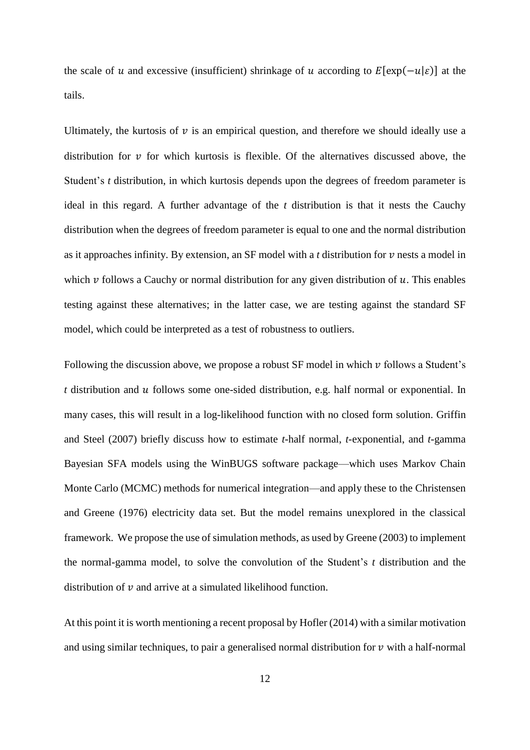the scale of u and excessive (insufficient) shrinkage of u according to  $E[\exp(-u|\varepsilon)]$  at the tails.

Ultimately, the kurtosis of  $v$  is an empirical question, and therefore we should ideally use a distribution for  $\nu$  for which kurtosis is flexible. Of the alternatives discussed above, the Student's *t* distribution, in which kurtosis depends upon the degrees of freedom parameter is ideal in this regard. A further advantage of the *t* distribution is that it nests the Cauchy distribution when the degrees of freedom parameter is equal to one and the normal distribution as it approaches infinity. By extension, an SF model with a  $t$  distribution for  $v$  nests a model in which  $\nu$  follows a Cauchy or normal distribution for any given distribution of  $\mu$ . This enables testing against these alternatives; in the latter case, we are testing against the standard SF model, which could be interpreted as a test of robustness to outliers.

Following the discussion above, we propose a robust SF model in which  $\nu$  follows a Student's *t* distribution and *u* follows some one-sided distribution, e.g. half normal or exponential. In many cases, this will result in a log-likelihood function with no closed form solution. Griffin and Steel (2007) briefly discuss how to estimate *t*-half normal, *t*-exponential, and *t*-gamma Bayesian SFA models using the WinBUGS software package—which uses Markov Chain Monte Carlo (MCMC) methods for numerical integration—and apply these to the Christensen and Greene (1976) electricity data set. But the model remains unexplored in the classical framework. We propose the use of simulation methods, as used by Greene (2003) to implement the normal-gamma model, to solve the convolution of the Student's *t* distribution and the distribution of  $\nu$  and arrive at a simulated likelihood function.

At this point it is worth mentioning a recent proposal by Hofler (2014) with a similar motivation and using similar techniques, to pair a generalised normal distribution for  $\nu$  with a half-normal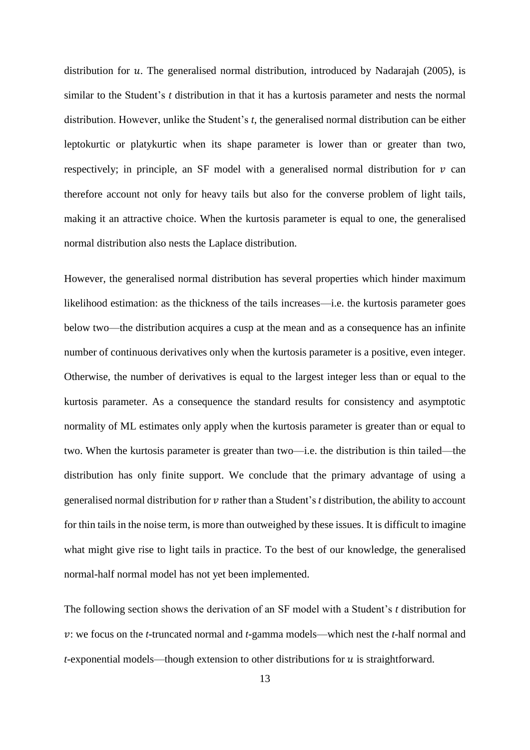distribution for  $u$ . The generalised normal distribution, introduced by Nadarajah (2005), is similar to the Student's *t* distribution in that it has a kurtosis parameter and nests the normal distribution. However, unlike the Student's *t*, the generalised normal distribution can be either leptokurtic or platykurtic when its shape parameter is lower than or greater than two, respectively; in principle, an SF model with a generalised normal distribution for  $\nu$  can therefore account not only for heavy tails but also for the converse problem of light tails, making it an attractive choice. When the kurtosis parameter is equal to one, the generalised normal distribution also nests the Laplace distribution.

However, the generalised normal distribution has several properties which hinder maximum likelihood estimation: as the thickness of the tails increases—i.e. the kurtosis parameter goes below two—the distribution acquires a cusp at the mean and as a consequence has an infinite number of continuous derivatives only when the kurtosis parameter is a positive, even integer. Otherwise, the number of derivatives is equal to the largest integer less than or equal to the kurtosis parameter. As a consequence the standard results for consistency and asymptotic normality of ML estimates only apply when the kurtosis parameter is greater than or equal to two. When the kurtosis parameter is greater than two—i.e. the distribution is thin tailed—the distribution has only finite support. We conclude that the primary advantage of using a generalised normal distribution for  $\nu$  rather than a Student's  $t$  distribution, the ability to account for thin tails in the noise term, is more than outweighed by these issues. It is difficult to imagine what might give rise to light tails in practice. To the best of our knowledge, the generalised normal-half normal model has not yet been implemented.

The following section shows the derivation of an SF model with a Student's *t* distribution for : we focus on the *t*-truncated normal and *t*-gamma models—which nest the *t*-half normal and *t*-exponential models—though extension to other distributions for  $u$  is straightforward.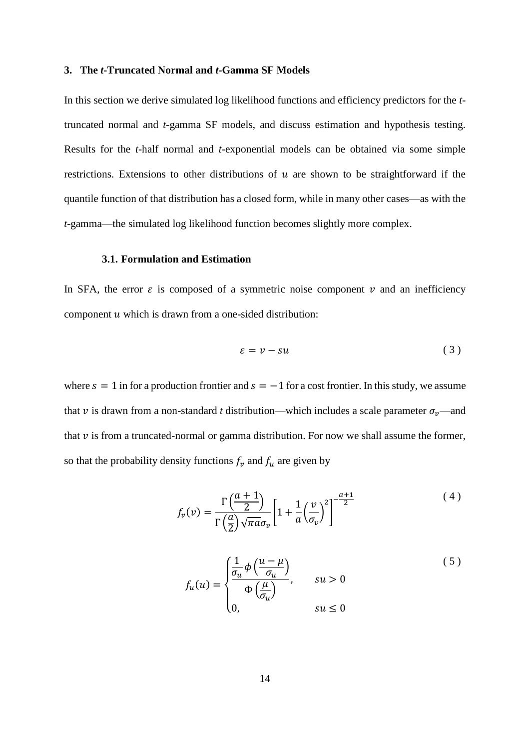#### <span id="page-13-0"></span>**3. The** *t***-Truncated Normal and** *t***-Gamma SF Models**

In this section we derive simulated log likelihood functions and efficiency predictors for the *t*truncated normal and *t*-gamma SF models, and discuss estimation and hypothesis testing. Results for the *t*-half normal and *t*-exponential models can be obtained via some simple restrictions. Extensions to other distributions of  $u$  are shown to be straightforward if the quantile function of that distribution has a closed form, while in many other cases—as with the *t*-gamma—the simulated log likelihood function becomes slightly more complex.

# **3.1. Formulation and Estimation**

In SFA, the error  $\varepsilon$  is composed of a symmetric noise component  $\nu$  and an inefficiency component  $u$  which is drawn from a one-sided distribution:

$$
\varepsilon = v - su \tag{3}
$$

where  $s = 1$  in for a production frontier and  $s = -1$  for a cost frontier. In this study, we assume that  $v$  is drawn from a non-standard *t* distribution—which includes a scale parameter  $\sigma_v$ —and that  $\nu$  is from a truncated-normal or gamma distribution. For now we shall assume the former, so that the probability density functions  $f_v$  and  $f_u$  are given by

$$
f_{\nu}(v) = \frac{\Gamma\left(\frac{a+1}{2}\right)}{\Gamma\left(\frac{a}{2}\right)\sqrt{\pi a}\sigma_{\nu}} \left[1 + \frac{1}{a}\left(\frac{v}{\sigma_{\nu}}\right)^{2}\right]^{-\frac{a+1}{2}}
$$
(4)

$$
f_u(u) = \begin{cases} \frac{1}{\sigma_u} \phi\left(\frac{u-\mu}{\sigma_u}\right) & su > 0\\ \Phi\left(\frac{\mu}{\sigma_u}\right) & su \le 0\\ 0, & su \le 0 \end{cases}
$$
 (5)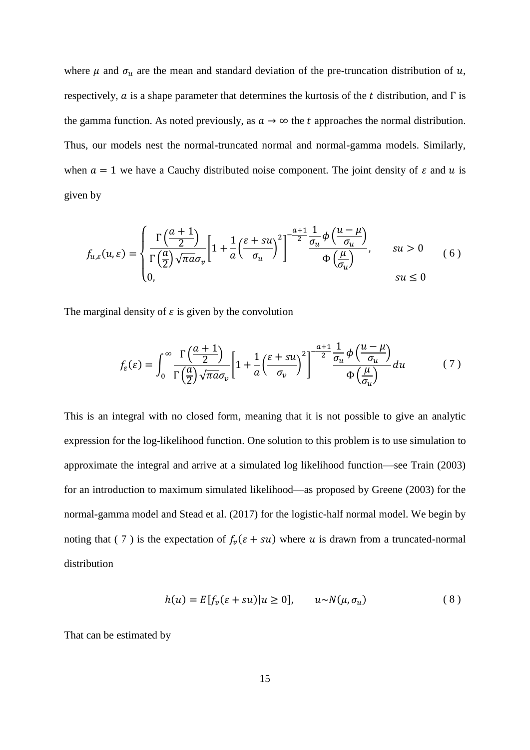where  $\mu$  and  $\sigma_u$  are the mean and standard deviation of the pre-truncation distribution of  $u$ , respectively,  $\alpha$  is a shape parameter that determines the kurtosis of the  $t$  distribution, and  $\Gamma$  is the gamma function. As noted previously, as  $a \to \infty$  the t approaches the normal distribution. Thus, our models nest the normal-truncated normal and normal-gamma models. Similarly, when  $a = 1$  we have a Cauchy distributed noise component. The joint density of  $\varepsilon$  and  $u$  is given by

$$
f_{u,\varepsilon}(u,\varepsilon) = \begin{cases} \frac{\Gamma\left(\frac{a+1}{2}\right)}{\Gamma\left(\frac{a}{2}\right)\sqrt{\pi a}\sigma_v} \left[1 + \frac{1}{a}\left(\frac{\varepsilon + su}{\sigma_u}\right)^2\right]^{-\frac{a+1}{2}} \frac{1}{\sigma_u} \phi\left(\frac{u-\mu}{\sigma_u}\right), & su > 0\\ 0, & su \le 0 \end{cases} \tag{6}
$$

The marginal density of  $\varepsilon$  is given by the convolution

<span id="page-14-0"></span>
$$
f_{\varepsilon}(\varepsilon) = \int_0^{\infty} \frac{\Gamma\left(\frac{a+1}{2}\right)}{\Gamma\left(\frac{a}{2}\right)\sqrt{\pi a}\sigma_v} \left[1 + \frac{1}{a}\left(\frac{\varepsilon + \varepsilon u}{\sigma_v}\right)^2\right]^{-\frac{a+1}{2}} \frac{\frac{1}{\sigma_u} \phi\left(\frac{u-\mu}{\sigma_u}\right)}{\Phi\left(\frac{\mu}{\sigma_u}\right)} du \tag{7}
$$

This is an integral with no closed form, meaning that it is not possible to give an analytic expression for the log-likelihood function. One solution to this problem is to use simulation to approximate the integral and arrive at a simulated log likelihood function—see Train (2003) for an introduction to maximum simulated likelihood—as proposed by Greene (2003) for the normal-gamma model and Stead et al. (2017) for the logistic-half normal model. We begin by noting that (7) is the expectation of  $f_\nu(\varepsilon + s u)$  where u is drawn from a truncated-normal distribution

$$
h(u) = E[f_v(\varepsilon + su)|u \ge 0], \qquad u \sim N(\mu, \sigma_u)
$$
 (8)

That can be estimated by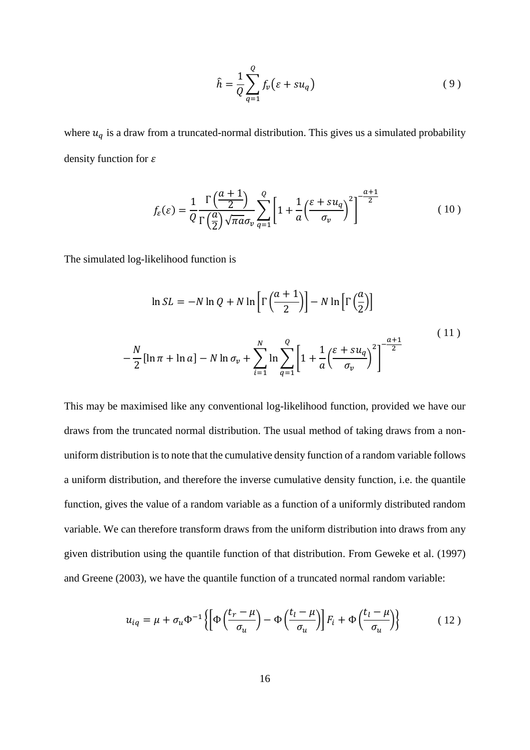<span id="page-15-1"></span>
$$
\hat{h} = \frac{1}{Q} \sum_{q=1}^{Q} f_v(\varepsilon + s u_q)
$$
\n(9)

where  $u_q$  is a draw from a truncated-normal distribution. This gives us a simulated probability density function for  $\varepsilon$ 

$$
f_{\varepsilon}(\varepsilon) = \frac{1}{Q} \frac{\Gamma\left(\frac{a+1}{2}\right)}{\Gamma\left(\frac{a}{2}\right)\sqrt{\pi a} \sigma_v} \sum_{q=1}^{Q} \left[1 + \frac{1}{a} \left(\frac{\varepsilon + s u_q}{\sigma_v}\right)^2\right]^{-\frac{a+1}{2}} \tag{10}
$$

The simulated log-likelihood function is

$$
\ln SL = -N \ln Q + N \ln \left[ \Gamma \left( \frac{a+1}{2} \right) \right] - N \ln \left[ \Gamma \left( \frac{a}{2} \right) \right]
$$

$$
-\frac{N}{2} [\ln \pi + \ln a] - N \ln \sigma_v + \sum_{i=1}^{N} \ln \sum_{q=1}^{Q} \left[ 1 + \frac{1}{a} \left( \frac{\varepsilon + su_q}{\sigma_v} \right)^2 \right]^{-\frac{a+1}{2}}
$$
(11)

This may be maximised like any conventional log-likelihood function, provided we have our draws from the truncated normal distribution. The usual method of taking draws from a nonuniform distribution is to note that the cumulative density function of a random variable follows a uniform distribution, and therefore the inverse cumulative density function, i.e. the quantile function, gives the value of a random variable as a function of a uniformly distributed random variable. We can therefore transform draws from the uniform distribution into draws from any given distribution using the quantile function of that distribution. From Geweke et al. (1997) and Greene (2003), we have the quantile function of a truncated normal random variable:

<span id="page-15-0"></span>
$$
u_{iq} = \mu + \sigma_u \Phi^{-1} \left\{ \left[ \Phi \left( \frac{t_r - \mu}{\sigma_u} \right) - \Phi \left( \frac{t_l - \mu}{\sigma_u} \right) \right] F_i + \Phi \left( \frac{t_l - \mu}{\sigma_u} \right) \right\} \tag{12}
$$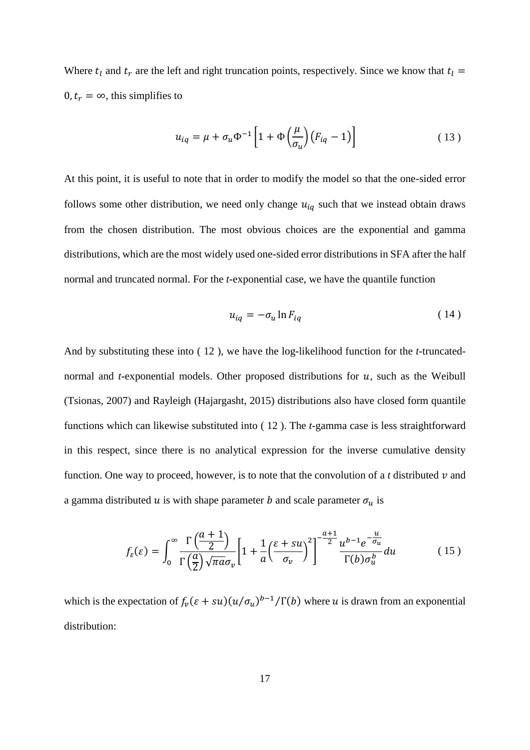Where  $t_l$  and  $t_r$  are the left and right truncation points, respectively. Since we know that  $t_l$  =  $0, t_r = \infty$ , this simplifies to

<span id="page-16-0"></span>
$$
u_{iq} = \mu + \sigma_u \Phi^{-1} \left[ 1 + \Phi \left( \frac{\mu}{\sigma_u} \right) \left( F_{iq} - 1 \right) \right] \tag{13}
$$

At this point, it is useful to note that in order to modify the model so that the one-sided error follows some other distribution, we need only change  $u_{iq}$  such that we instead obtain draws from the chosen distribution. The most obvious choices are the exponential and gamma distributions, which are the most widely used one-sided error distributions in SFA after the half normal and truncated normal. For the *t*-exponential case, we have the quantile function

<span id="page-16-1"></span>
$$
u_{iq} = -\sigma_u \ln F_{iq} \tag{14}
$$

And by substituting these into [\( 12](#page-15-0) ), we have the log-likelihood function for the *t*-truncatednormal and *t*-exponential models. Other proposed distributions for  $u$ , such as the Weibull (Tsionas, 2007) and Rayleigh (Hajargasht, 2015) distributions also have closed form quantile functions which can likewise substituted into [\( 12](#page-15-0) ). The *t*-gamma case is less straightforward in this respect, since there is no analytical expression for the inverse cumulative density function. One way to proceed, however, is to note that the convolution of a  $t$  distributed  $\nu$  and a gamma distributed u is with shape parameter b and scale parameter  $\sigma_u$  is

$$
f_{\varepsilon}(\varepsilon) = \int_0^\infty \frac{\Gamma\left(\frac{a+1}{2}\right)}{\Gamma\left(\frac{a}{2}\right)\sqrt{\pi a}\sigma_v} \left[1 + \frac{1}{a}\left(\frac{\varepsilon + su}{\sigma_v}\right)^2\right]^{-\frac{a+1}{2}} \frac{u^{b-1} e^{-\frac{u}{\sigma_u}}}{\Gamma(b)\sigma_u^b} du\tag{15}
$$

which is the expectation of  $f_\nu(\varepsilon + s u)(u/\sigma_u)^{b-1}/\Gamma(b)$  where u is drawn from an exponential distribution: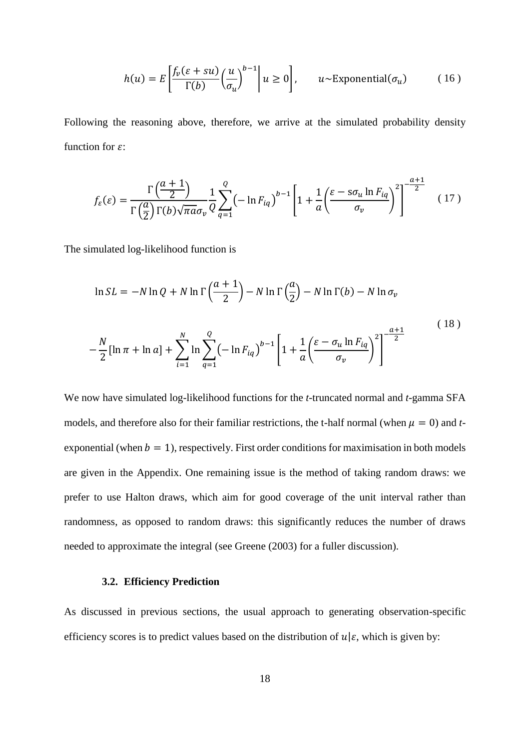$$
h(u) = E\left[\frac{f_v(\varepsilon + su)}{\Gamma(b)} \left(\frac{u}{\sigma_u}\right)^{b-1} \middle| \ u \ge 0\right], \qquad u \sim \text{Exponential}(\sigma_u) \tag{16}
$$

Following the reasoning above, therefore, we arrive at the simulated probability density function for  $\varepsilon$ :

$$
f_{\varepsilon}(\varepsilon) = \frac{\Gamma\left(\frac{a+1}{2}\right)}{\Gamma\left(\frac{a}{2}\right)\Gamma(b)\sqrt{\pi a}\sigma_v} \frac{1}{Q} \sum_{q=1}^Q \left(-\ln F_{iq}\right)^{b-1} \left[1 + \frac{1}{a} \left(\frac{\varepsilon - s\sigma_u \ln F_{iq}}{\sigma_v}\right)^2\right]^{-\frac{a+1}{2}} \quad (17)
$$

The simulated log-likelihood function is

$$
\ln SL = -N \ln Q + N \ln \Gamma \left(\frac{a+1}{2}\right) - N \ln \Gamma \left(\frac{a}{2}\right) - N \ln \Gamma(b) - N \ln \sigma_v
$$
  

$$
-\frac{N}{2} [\ln \pi + \ln a] + \sum_{i=1}^{N} \ln \sum_{q=1}^{Q} (-\ln F_{iq})^{b-1} \left[1 + \frac{1}{a} \left(\frac{\varepsilon - \sigma_u \ln F_{iq}}{\sigma_v}\right)^2\right]^{-\frac{a+1}{2}}
$$
(18)

We now have simulated log-likelihood functions for the *t*-truncated normal and *t*-gamma SFA models, and therefore also for their familiar restrictions, the t-half normal (when  $\mu = 0$ ) and *t*exponential (when  $b = 1$ ), respectively. First order conditions for maximisation in both models are given in the Appendix. One remaining issue is the method of taking random draws: we prefer to use Halton draws, which aim for good coverage of the unit interval rather than randomness, as opposed to random draws: this significantly reduces the number of draws needed to approximate the integral (see Greene (2003) for a fuller discussion).

#### **3.2. Efficiency Prediction**

As discussed in previous sections, the usual approach to generating observation-specific efficiency scores is to predict values based on the distribution of  $u | \varepsilon$ , which is given by: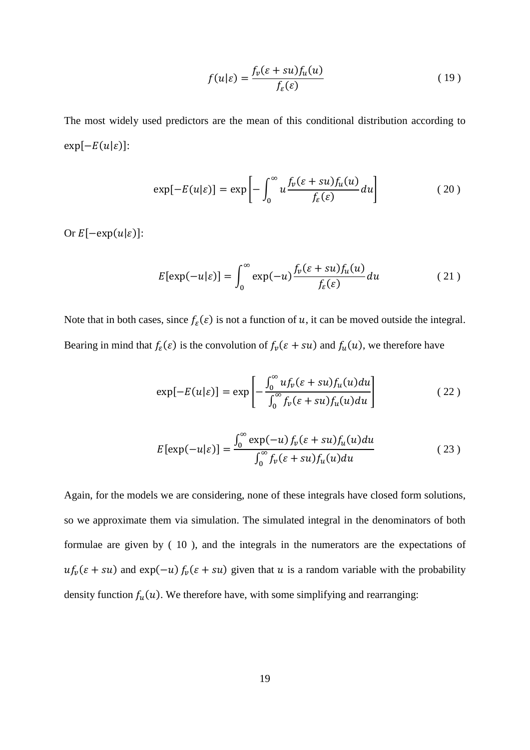$$
f(u|\varepsilon) = \frac{f_v(\varepsilon + su)f_u(u)}{f_\varepsilon(\varepsilon)}
$$
(19)

The most widely used predictors are the mean of this conditional distribution according to  $\exp[-E(u|\varepsilon)]$ :

$$
\exp[-E(u|\varepsilon)] = \exp\left[-\int_0^\infty u \frac{f_\nu(\varepsilon + su)f_u(u)}{f_\varepsilon(\varepsilon)} du\right] \tag{20}
$$

Or  $E[-\exp(u|\varepsilon)]$ :

$$
E[\exp(-u|\varepsilon)] = \int_0^\infty \exp(-u) \frac{f_v(\varepsilon + su) f_u(u)}{f_\varepsilon(\varepsilon)} du \tag{21}
$$

Note that in both cases, since  $f_{\varepsilon}(\varepsilon)$  is not a function of u, it can be moved outside the integral. Bearing in mind that  $f_{\varepsilon}(\varepsilon)$  is the convolution of  $f_{\nu}(\varepsilon + \varepsilon u)$  and  $f_{\nu}(u)$ , we therefore have

$$
\exp[-E(u|\varepsilon)] = \exp\left[-\frac{\int_0^\infty u f_\nu(\varepsilon + s u) f_u(u) du}{\int_0^\infty f_\nu(\varepsilon + s u) f_u(u) du}\right]
$$
(22)

$$
E[\exp(-u|\varepsilon)] = \frac{\int_0^\infty \exp(-u) f_\nu(\varepsilon + su) f_u(u) du}{\int_0^\infty f_\nu(\varepsilon + su) f_u(u) du}
$$
(23)

Again, for the models we are considering, none of these integrals have closed form solutions, so we approximate them via simulation. The simulated integral in the denominators of both formulae are given by [\( 10](#page-15-1) ), and the integrals in the numerators are the expectations of  $uf_v(\varepsilon + su)$  and  $exp(-u) f_v(\varepsilon + su)$  given that u is a random variable with the probability density function  $f_u(u)$ . We therefore have, with some simplifying and rearranging: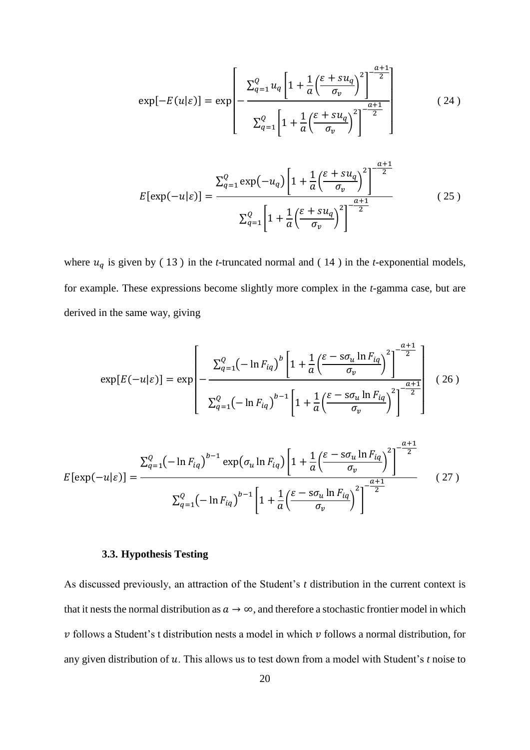$$
\exp[-E(u|\varepsilon)] = \exp\left[-\frac{\sum_{q=1}^{Q} u_q \left[1 + \frac{1}{a} \left(\frac{\varepsilon + s u_q}{\sigma_v}\right)^2\right]^{-\frac{a+1}{2}}}{\sum_{q=1}^{Q} \left[1 + \frac{1}{a} \left(\frac{\varepsilon + s u_q}{\sigma_v}\right)^2\right]^{-\frac{a+1}{2}}}\right] \tag{24}
$$

$$
E[\exp(-u|\varepsilon)] = \frac{\sum_{q=1}^{Q} \exp(-u_q) \left[1 + \frac{1}{a} \left(\frac{\varepsilon + s u_q}{\sigma_v}\right)^2\right]^{-\frac{a+1}{2}}}{\sum_{q=1}^{Q} \left[1 + \frac{1}{a} \left(\frac{\varepsilon + s u_q}{\sigma_v}\right)^2\right]^{-\frac{a+1}{2}}}
$$
(25)

where  $u_q$  is given by ([13](#page-16-0)) in the *t*-truncated normal and (14) in the *t*-exponential models, for example. These expressions become slightly more complex in the *t*-gamma case, but are derived in the same way, giving

$$
\exp[E(-u|\varepsilon)] = \exp\left[-\frac{\sum_{q=1}^{Q}(-\ln F_{iq})^{b}\left[1 + \frac{1}{a}\left(\frac{\varepsilon - s\sigma_{u}\ln F_{iq}}{\sigma_{v}}\right)^{2}\right]^{-\frac{a+1}{2}}}{\sum_{q=1}^{Q}(-\ln F_{iq})^{b-1}\left[1 + \frac{1}{a}\left(\frac{\varepsilon - s\sigma_{u}\ln F_{iq}}{\sigma_{v}}\right)^{2}\right]^{-\frac{a+1}{2}}}\right] (26)
$$

$$
E[\exp(-u|\varepsilon)] = \frac{\sum_{q=1}^{Q} (-\ln F_{iq})^{b-1} \exp(\sigma_u \ln F_{iq}) \left[1 + \frac{1}{a} \left(\frac{\varepsilon - s\sigma_u \ln F_{iq}}{\sigma_v}\right)^2\right]^{-\frac{a+1}{2}}}{\sum_{q=1}^{Q} (-\ln F_{iq})^{b-1} \left[1 + \frac{1}{a} \left(\frac{\varepsilon - s\sigma_u \ln F_{iq}}{\sigma_v}\right)^2\right]^{-\frac{a+1}{2}}}
$$
(27)

#### **3.3. Hypothesis Testing**

<span id="page-19-0"></span>As discussed previously, an attraction of the Student's *t* distribution in the current context is that it nests the normal distribution as  $a \to \infty$ , and therefore a stochastic frontier model in which  $\nu$  follows a Student's t distribution nests a model in which  $\nu$  follows a normal distribution, for any given distribution of  $u$ . This allows us to test down from a model with Student's  $t$  noise to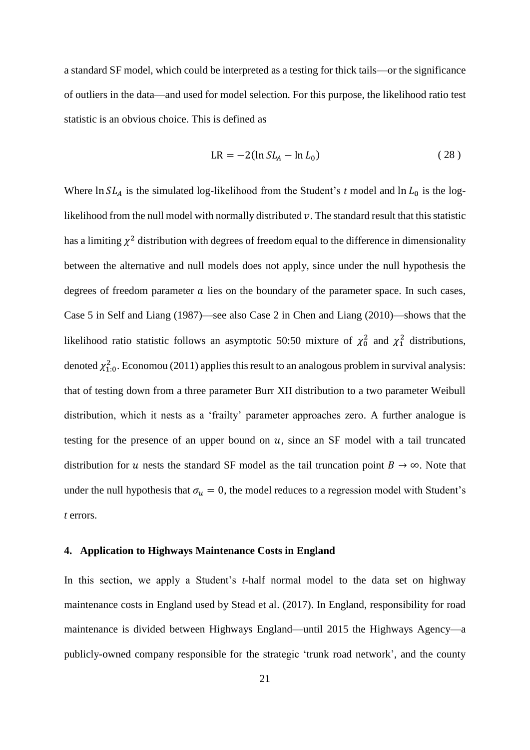a standard SF model, which could be interpreted as a testing for thick tails—or the significance of outliers in the data—and used for model selection. For this purpose, the likelihood ratio test statistic is an obvious choice. This is defined as

<span id="page-20-1"></span>
$$
LR = -2(\ln SL_A - \ln L_0) \tag{28}
$$

Where  $\ln SL_A$  is the simulated log-likelihood from the Student's *t* model and  $\ln L_0$  is the loglikelihood from the null model with normally distributed  $\nu$ . The standard result that this statistic has a limiting  $\chi^2$  distribution with degrees of freedom equal to the difference in dimensionality between the alternative and null models does not apply, since under the null hypothesis the degrees of freedom parameter  $a$  lies on the boundary of the parameter space. In such cases, Case 5 in Self and Liang (1987)—see also Case 2 in Chen and Liang (2010)—shows that the likelihood ratio statistic follows an asymptotic 50:50 mixture of  $\chi_0^2$  and  $\chi_1^2$  distributions, denoted  $\chi^2_{1:0}$ . Economou (2011) applies this result to an analogous problem in survival analysis: that of testing down from a three parameter Burr XII distribution to a two parameter Weibull distribution, which it nests as a 'frailty' parameter approaches zero. A further analogue is testing for the presence of an upper bound on  $u$ , since an SF model with a tail truncated distribution for u nests the standard SF model as the tail truncation point  $B \to \infty$ . Note that under the null hypothesis that  $\sigma_u = 0$ , the model reduces to a regression model with Student's *t* errors.

# <span id="page-20-0"></span>**4. Application to Highways Maintenance Costs in England**

In this section, we apply a Student's *t*-half normal model to the data set on highway maintenance costs in England used by Stead et al. (2017). In England, responsibility for road maintenance is divided between Highways England—until 2015 the Highways Agency—a publicly-owned company responsible for the strategic 'trunk road network', and the county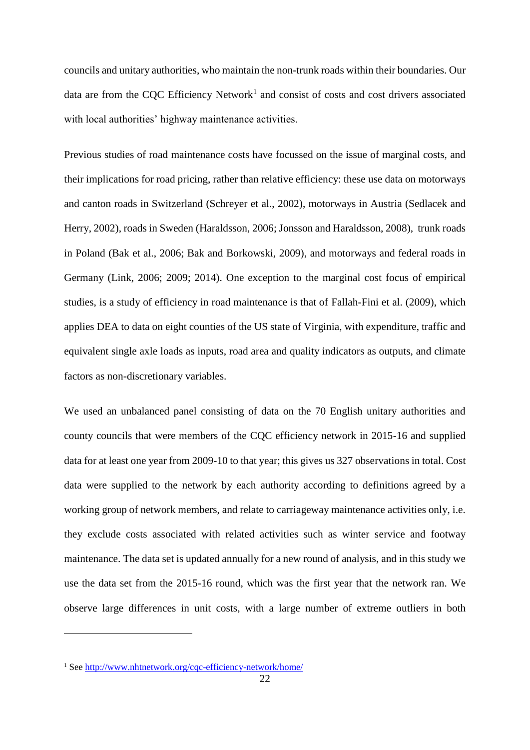councils and unitary authorities, who maintain the non-trunk roads within their boundaries. Our data are from the CQC Efficiency Network<sup>1</sup> and consist of costs and cost drivers associated with local authorities' highway maintenance activities.

Previous studies of road maintenance costs have focussed on the issue of marginal costs, and their implications for road pricing, rather than relative efficiency: these use data on motorways and canton roads in Switzerland (Schreyer et al., 2002), motorways in Austria (Sedlacek and Herry, 2002), roads in Sweden (Haraldsson, 2006; Jonsson and Haraldsson, 2008), trunk roads in Poland (Bak et al., 2006; Bak and Borkowski, 2009), and motorways and federal roads in Germany (Link, 2006; 2009; 2014). One exception to the marginal cost focus of empirical studies, is a study of efficiency in road maintenance is that of Fallah-Fini et al. (2009), which applies DEA to data on eight counties of the US state of Virginia, with expenditure, traffic and equivalent single axle loads as inputs, road area and quality indicators as outputs, and climate factors as non-discretionary variables.

We used an unbalanced panel consisting of data on the 70 English unitary authorities and county councils that were members of the CQC efficiency network in 2015-16 and supplied data for at least one year from 2009-10 to that year; this gives us 327 observations in total. Cost data were supplied to the network by each authority according to definitions agreed by a working group of network members, and relate to carriageway maintenance activities only, i.e. they exclude costs associated with related activities such as winter service and footway maintenance. The data set is updated annually for a new round of analysis, and in this study we use the data set from the 2015-16 round, which was the first year that the network ran. We observe large differences in unit costs, with a large number of extreme outliers in both

<u>.</u>

<sup>&</sup>lt;sup>1</sup> Se[e http://www.nhtnetwork.org/cqc-efficiency-network/home/](http://www.nhtnetwork.org/cqc-efficiency-network/home/)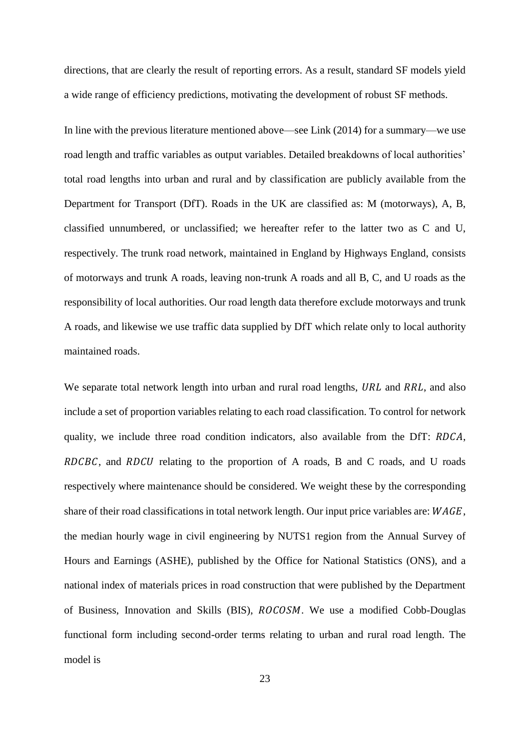directions, that are clearly the result of reporting errors. As a result, standard SF models yield a wide range of efficiency predictions, motivating the development of robust SF methods.

In line with the previous literature mentioned above—see Link (2014) for a summary—we use road length and traffic variables as output variables. Detailed breakdowns of local authorities' total road lengths into urban and rural and by classification are publicly available from the Department for Transport (DfT). Roads in the UK are classified as: M (motorways), A, B, classified unnumbered, or unclassified; we hereafter refer to the latter two as C and U, respectively. The trunk road network, maintained in England by Highways England, consists of motorways and trunk A roads, leaving non-trunk A roads and all B, C, and U roads as the responsibility of local authorities. Our road length data therefore exclude motorways and trunk A roads, and likewise we use traffic data supplied by DfT which relate only to local authority maintained roads.

We separate total network length into urban and rural road lengths, URL and RRL, and also include a set of proportion variables relating to each road classification. To control for network quality, we include three road condition indicators, also available from the DfT:  $RDCA$ ,  $RDCBC$ , and  $RDCU$  relating to the proportion of A roads, B and C roads, and U roads respectively where maintenance should be considered. We weight these by the corresponding share of their road classifications in total network length. Our input price variables are:  $WAGE$ , the median hourly wage in civil engineering by NUTS1 region from the Annual Survey of Hours and Earnings (ASHE), published by the Office for National Statistics (ONS), and a national index of materials prices in road construction that were published by the Department of Business, Innovation and Skills (BIS), ROCOSM. We use a modified Cobb-Douglas functional form including second-order terms relating to urban and rural road length. The model is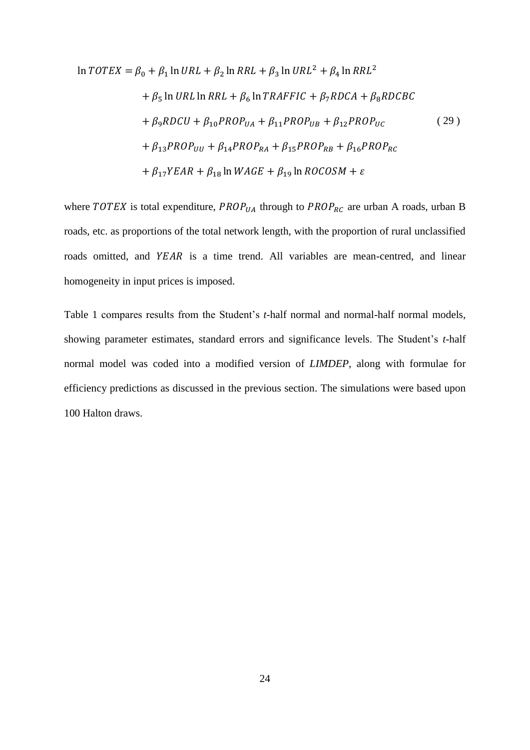$$
\ln TOTEX = \beta_0 + \beta_1 \ln URL + \beta_2 \ln RRL + \beta_3 \ln URL^2 + \beta_4 \ln RRL^2
$$
  
+  $\beta_5 \ln URL \ln RRL + \beta_6 \ln TRAFFIC + \beta_7 RDCA + \beta_8 RDCBC$   
+  $\beta_9 RDCU + \beta_{10} PROP_{UA} + \beta_{11} PROP_{UB} + \beta_{12} PROP_{UC}$  (29)  
+  $\beta_{13} PROP_{UU} + \beta_{14} PROP_{RA} + \beta_{15} PROP_{RB} + \beta_{16} PROP_{RC}$   
+  $\beta_{17} YEAR + \beta_{18} \ln WAGE + \beta_{19} \ln ROCOSM + \varepsilon$ 

where TOTEX is total expenditure,  $PROP<sub>UA</sub>$  through to  $PROP<sub>RC</sub>$  are urban A roads, urban B roads, etc. as proportions of the total network length, with the proportion of rural unclassified roads omitted, and YEAR is a time trend. All variables are mean-centred, and linear homogeneity in input prices is imposed.

[Table 1](#page-24-0) compares results from the Student's *t*-half normal and normal-half normal models, showing parameter estimates, standard errors and significance levels. The Student's *t*-half normal model was coded into a modified version of *LIMDEP*, along with formulae for efficiency predictions as discussed in the previous section. The simulations were based upon 100 Halton draws.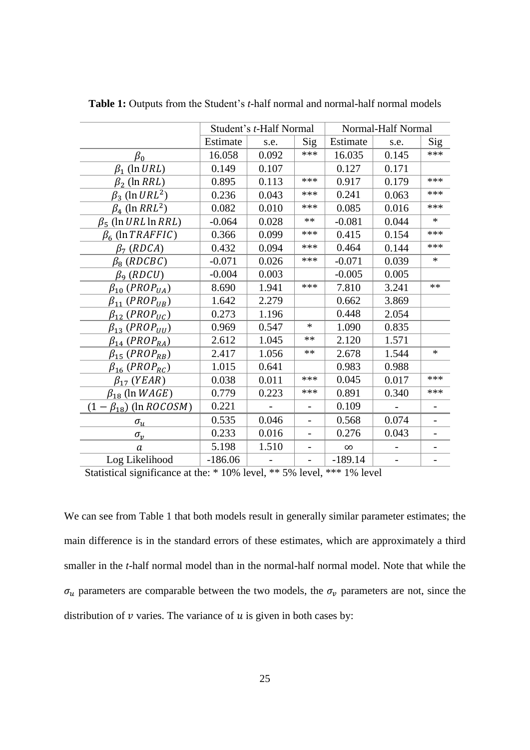|                                    | Student's t-Half Normal |       |                          | Normal-Half Normal |       |        |
|------------------------------------|-------------------------|-------|--------------------------|--------------------|-------|--------|
|                                    | Estimate                | s.e.  | Sig                      | Estimate           | s.e.  | Sig    |
| $\beta_0$                          | 16.058                  | 0.092 | ***                      | 16.035             | 0.145 | ***    |
| $\beta_1$ (ln URL)                 | 0.149                   | 0.107 |                          | 0.127              | 0.171 |        |
| $\beta_2$ (ln RRL)                 | 0.895                   | 0.113 | ***                      | 0.917              | 0.179 | ***    |
| $\beta_3$ (ln URL <sup>2</sup> )   | 0.236                   | 0.043 | ***                      | 0.241              | 0.063 | ***    |
| $\beta_4$ (ln RRL <sup>2</sup> )   | 0.082                   | 0.010 | ***                      | 0.085              | 0.016 | ***    |
| $\beta_5$ (ln URL ln RRL)          | $-0.064$                | 0.028 | $**$                     | $-0.081$           | 0.044 | $\ast$ |
| $\beta_6$ (ln TRAFFIC)             | 0.366                   | 0.099 | ***                      | 0.415              | 0.154 | ***    |
| $\beta$ <sub>7</sub> (RDCA)        | 0.432                   | 0.094 | ***                      | 0.464              | 0.144 | ***    |
| $\beta_8$ (RDCBC)                  | $-0.071$                | 0.026 | ***                      | $-0.071$           | 0.039 | $\ast$ |
| $\beta_9$ (RDCU)                   | $-0.004$                | 0.003 |                          | $-0.005$           | 0.005 |        |
| $\beta_{10}$ (PROP <sub>UA</sub> ) | 8.690                   | 1.941 | ***                      | 7.810              | 3.241 | $**$   |
| $\beta_{11}$ (PROP <sub>UB</sub> ) | 1.642                   | 2.279 |                          | 0.662              | 3.869 |        |
| $\beta_{12}$ (PROP <sub>UC</sub> ) | 0.273                   | 1.196 |                          | 0.448              | 2.054 |        |
| $\beta_{13}$ (PROP <sub>UU</sub> ) | 0.969                   | 0.547 | *                        | 1.090              | 0.835 |        |
| $\beta_{14}$ (PROP <sub>RA</sub> ) | 2.612                   | 1.045 | **                       | 2.120              | 1.571 |        |
| $\beta_{15}$ (PROP <sub>RB</sub> ) | 2.417                   | 1.056 | **                       | 2.678              | 1.544 | $\ast$ |
| $\beta_{16}$ (PROP <sub>RC</sub> ) | 1.015                   | 0.641 |                          | 0.983              | 0.988 |        |
| $\beta_{17}$ (YEAR)                | 0.038                   | 0.011 | ***                      | 0.045              | 0.017 | ***    |
| $\beta_{18}$ (ln <i>WAGE</i> )     | 0.779                   | 0.223 | ***                      | 0.891              | 0.340 | ***    |
| $(1 - \beta_{18})$ (ln ROCOSM)     | 0.221                   |       | $\overline{a}$           | 0.109              |       |        |
| $\sigma_u$                         | 0.535                   | 0.046 | $\overline{a}$           | 0.568              | 0.074 |        |
| $\sigma_v$                         | 0.233                   | 0.016 | $\overline{\phantom{0}}$ | 0.276              | 0.043 |        |
| $\alpha$                           | 5.198                   | 1.510 | $\overline{a}$           | $\infty$           |       |        |
| Log Likelihood                     | $-186.06$               |       | $\overline{\phantom{0}}$ | $-189.14$          |       |        |

<span id="page-24-0"></span>**Table 1:** Outputs from the Student's *t*-half normal and normal-half normal models

Statistical significance at the: \* 10% level, \*\* 5% level, \*\*\* 1% level

We can see from [Table 1](#page-24-0) that both models result in generally similar parameter estimates; the main difference is in the standard errors of these estimates, which are approximately a third smaller in the *t*-half normal model than in the normal-half normal model. Note that while the  $\sigma_u$  parameters are comparable between the two models, the  $\sigma_v$  parameters are not, since the distribution of  $\nu$  varies. The variance of  $u$  is given in both cases by: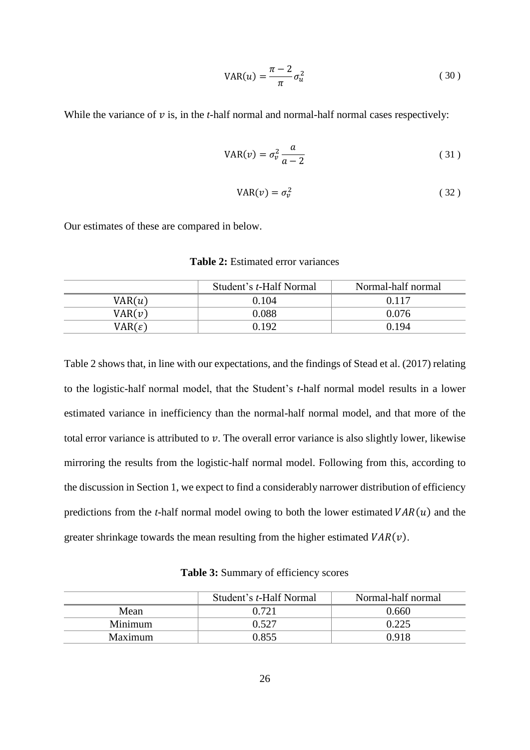$$
VAR(u) = \frac{\pi - 2}{\pi} \sigma_u^2 \tag{30}
$$

While the variance of  $v$  is, in the  $t$ -half normal and normal-half normal cases respectively:

$$
VAR(v) = \sigma_v^2 \frac{a}{a - 2}
$$
 (31)

$$
VAR(v) = \sigma_v^2 \tag{32}
$$

Our estimates of these are compared in below.

<span id="page-25-0"></span>

|                    | Student's <i>t</i> -Half Normal | Normal-half normal |
|--------------------|---------------------------------|--------------------|
| VAR(u)             | 0.104                           | 0.117              |
| VAR(v)             | 0.088                           | 0.076              |
| $VAR(\varepsilon)$ | 0.192                           | 0.194              |

**Table 2:** Estimated error variances

[Table 2](#page-25-0) shows that, in line with our expectations, and the findings of Stead et al. (2017) relating to the logistic-half normal model, that the Student's *t*-half normal model results in a lower estimated variance in inefficiency than the normal-half normal model, and that more of the total error variance is attributed to  $\nu$ . The overall error variance is also slightly lower, likewise mirroring the results from the logistic-half normal model. Following from this, according to the discussion in Section [1,](#page-1-0) we expect to find a considerably narrower distribution of efficiency predictions from the *t*-half normal model owing to both the lower estimated  $VAR(u)$  and the greater shrinkage towards the mean resulting from the higher estimated  $VAR(v)$ .

**Table 3:** Summary of efficiency scores

<span id="page-25-1"></span>

|         | Student's <i>t</i> -Half Normal | Normal-half normal |
|---------|---------------------------------|--------------------|
| Mean    | 0.721                           | 0.660              |
| Minimum | 0 527                           | 0.225              |
| Maximum | 0.855                           | 0.918              |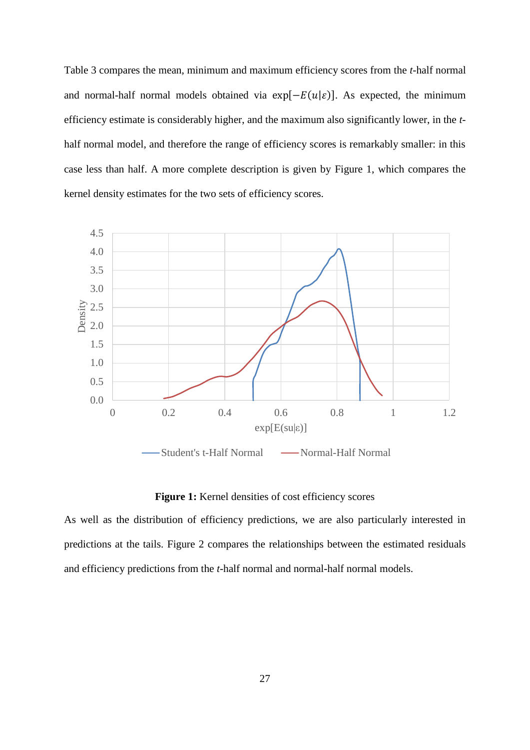[Table 3](#page-25-1) compares the mean, minimum and maximum efficiency scores from the *t*-half normal and normal-half normal models obtained via  $exp[-E(u|\varepsilon)]$ . As expected, the minimum efficiency estimate is considerably higher, and the maximum also significantly lower, in the *t*half normal model, and therefore the range of efficiency scores is remarkably smaller: in this case less than half. A more complete description is given by [Figure 1,](#page-26-0) which compares the kernel density estimates for the two sets of efficiency scores.



Figure 1: Kernel densities of cost efficiency scores

<span id="page-26-0"></span>As well as the distribution of efficiency predictions, we are also particularly interested in predictions at the tails. [Figure 2](#page-27-0) compares the relationships between the estimated residuals and efficiency predictions from the *t*-half normal and normal-half normal models.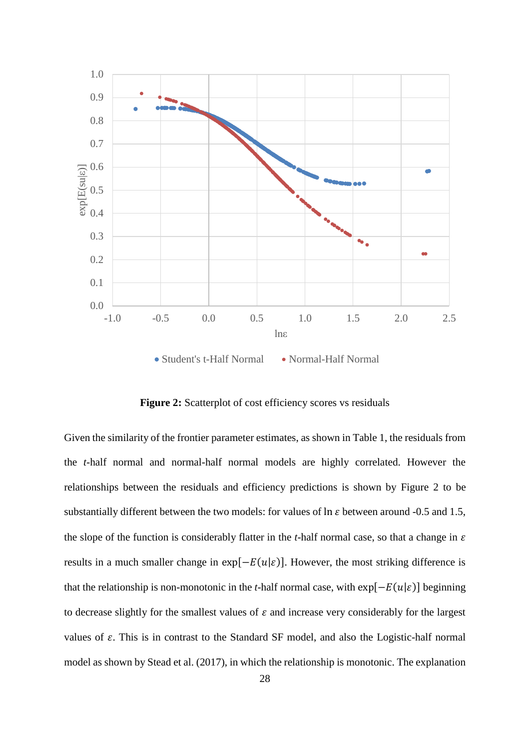

Figure 2: Scatterplot of cost efficiency scores vs residuals

<span id="page-27-0"></span>Given the similarity of the frontier parameter estimates, as shown in [Table 1,](#page-24-0) the residuals from the *t*-half normal and normal-half normal models are highly correlated. However the relationships between the residuals and efficiency predictions is shown by [Figure 2](#page-27-0) to be substantially different between the two models: for values of  $\ln \varepsilon$  between around -0.5 and 1.5, the slope of the function is considerably flatter in the *t*-half normal case, so that a change in  $\varepsilon$ results in a much smaller change in  $exp[-E(u|\varepsilon)]$ . However, the most striking difference is that the relationship is non-monotonic in the *t*-half normal case, with  $exp[-E(u|\varepsilon)]$  beginning to decrease slightly for the smallest values of  $\varepsilon$  and increase very considerably for the largest values of  $\varepsilon$ . This is in contrast to the Standard SF model, and also the Logistic-half normal model as shown by Stead et al. (2017), in which the relationship is monotonic. The explanation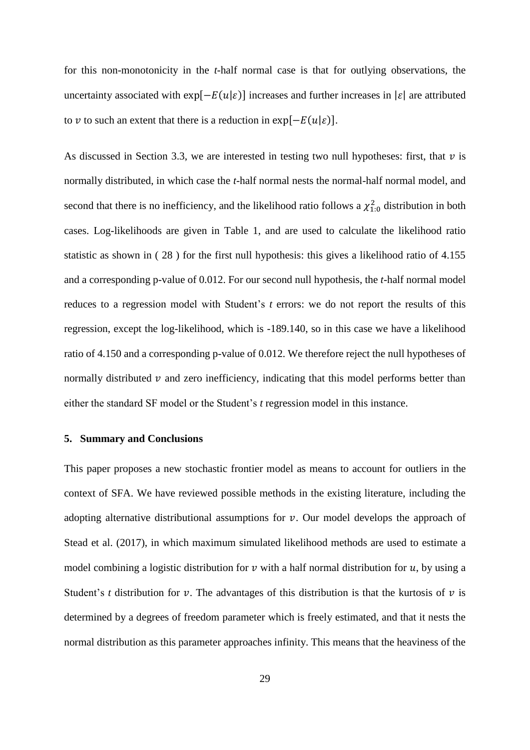for this non-monotonicity in the *t*-half normal case is that for outlying observations, the uncertainty associated with  $exp[-E(u|\varepsilon)]$  increases and further increases in  $|\varepsilon|$  are attributed to v to such an extent that there is a reduction in  $\exp[-E(u|\varepsilon)]$ .

As discussed in Section [3.3,](#page-19-0) we are interested in testing two null hypotheses: first, that  $\nu$  is normally distributed, in which case the *t*-half normal nests the normal-half normal model, and second that there is no inefficiency, and the likelihood ratio follows a  $\chi_{1:0}^2$  distribution in both cases. Log-likelihoods are given in [Table 1,](#page-24-0) and are used to calculate the likelihood ratio statistic as shown in [\( 28](#page-20-1) ) for the first null hypothesis: this gives a likelihood ratio of 4.155 and a corresponding p-value of 0.012. For our second null hypothesis, the *t*-half normal model reduces to a regression model with Student's *t* errors: we do not report the results of this regression, except the log-likelihood, which is -189.140, so in this case we have a likelihood ratio of 4.150 and a corresponding p-value of 0.012. We therefore reject the null hypotheses of normally distributed  $\nu$  and zero inefficiency, indicating that this model performs better than either the standard SF model or the Student's *t* regression model in this instance.

#### <span id="page-28-0"></span>**5. Summary and Conclusions**

This paper proposes a new stochastic frontier model as means to account for outliers in the context of SFA. We have reviewed possible methods in the existing literature, including the adopting alternative distributional assumptions for  $\nu$ . Our model develops the approach of Stead et al. (2017), in which maximum simulated likelihood methods are used to estimate a model combining a logistic distribution for  $\nu$  with a half normal distribution for  $u$ , by using a Student's *t* distribution for  $\nu$ . The advantages of this distribution is that the kurtosis of  $\nu$  is determined by a degrees of freedom parameter which is freely estimated, and that it nests the normal distribution as this parameter approaches infinity. This means that the heaviness of the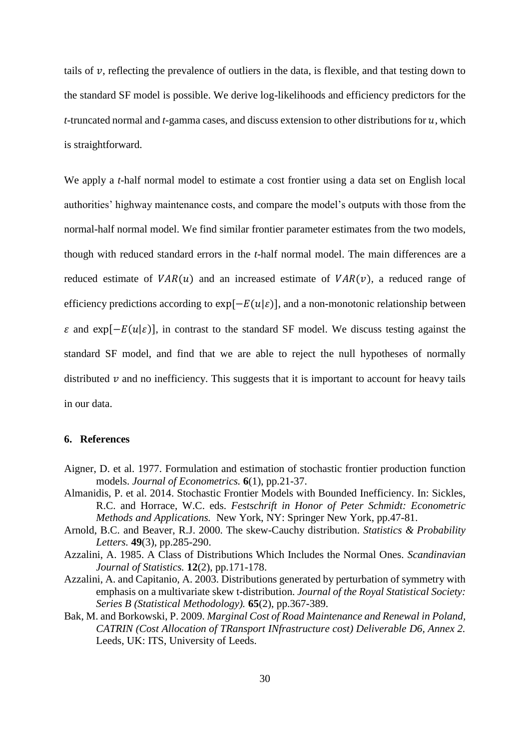tails of  $\nu$ , reflecting the prevalence of outliers in the data, is flexible, and that testing down to the standard SF model is possible. We derive log-likelihoods and efficiency predictors for the  $t$ -truncated normal and  $t$ -gamma cases, and discuss extension to other distributions for  $u$ , which is straightforward.

We apply a *t*-half normal model to estimate a cost frontier using a data set on English local authorities' highway maintenance costs, and compare the model's outputs with those from the normal-half normal model. We find similar frontier parameter estimates from the two models, though with reduced standard errors in the *t*-half normal model. The main differences are a reduced estimate of  $VAR(u)$  and an increased estimate of  $VAR(v)$ , a reduced range of efficiency predictions according to  $exp[-E(u|\varepsilon)]$ , and a non-monotonic relationship between  $\varepsilon$  and  $\exp[-E(u|\varepsilon)]$ , in contrast to the standard SF model. We discuss testing against the standard SF model, and find that we are able to reject the null hypotheses of normally distributed  $\nu$  and no inefficiency. This suggests that it is important to account for heavy tails in our data.

# **6. References**

- Aigner, D. et al. 1977. Formulation and estimation of stochastic frontier production function models. *Journal of Econometrics.* **6**(1), pp.21-37.
- Almanidis, P. et al. 2014. Stochastic Frontier Models with Bounded Inefficiency. In: Sickles, R.C. and Horrace, W.C. eds. *Festschrift in Honor of Peter Schmidt: Econometric Methods and Applications.* New York, NY: Springer New York, pp.47-81.
- Arnold, B.C. and Beaver, R.J. 2000. The skew-Cauchy distribution. *Statistics & Probability Letters.* **49**(3), pp.285-290.
- Azzalini, A. 1985. A Class of Distributions Which Includes the Normal Ones. *Scandinavian Journal of Statistics.* **12**(2), pp.171-178.
- Azzalini, A. and Capitanio, A. 2003. Distributions generated by perturbation of symmetry with emphasis on a multivariate skew t-distribution. *Journal of the Royal Statistical Society: Series B (Statistical Methodology).* **65**(2), pp.367-389.
- Bak, M. and Borkowski, P. 2009. *Marginal Cost of Road Maintenance and Renewal in Poland, CATRIN (Cost Allocation of TRansport INfrastructure cost) Deliverable D6, Annex 2.* Leeds, UK: ITS, University of Leeds.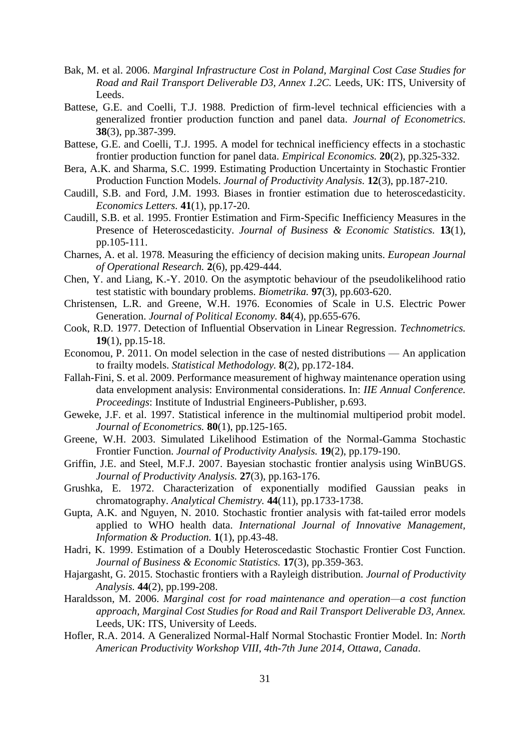- Bak, M. et al. 2006. *Marginal Infrastructure Cost in Poland, Marginal Cost Case Studies for Road and Rail Transport Deliverable D3, Annex 1.2C.* Leeds, UK: ITS, University of Leeds.
- Battese, G.E. and Coelli, T.J. 1988. Prediction of firm-level technical efficiencies with a generalized frontier production function and panel data. *Journal of Econometrics.* **38**(3), pp.387-399.
- Battese, G.E. and Coelli, T.J. 1995. A model for technical inefficiency effects in a stochastic frontier production function for panel data. *Empirical Economics.* **20**(2), pp.325-332.
- Bera, A.K. and Sharma, S.C. 1999. Estimating Production Uncertainty in Stochastic Frontier Production Function Models. *Journal of Productivity Analysis.* **12**(3), pp.187-210.
- Caudill, S.B. and Ford, J.M. 1993. Biases in frontier estimation due to heteroscedasticity. *Economics Letters.* **41**(1), pp.17-20.
- Caudill, S.B. et al. 1995. Frontier Estimation and Firm-Specific Inefficiency Measures in the Presence of Heteroscedasticity. *Journal of Business & Economic Statistics.* **13**(1), pp.105-111.
- Charnes, A. et al. 1978. Measuring the efficiency of decision making units. *European Journal of Operational Research.* **2**(6), pp.429-444.
- Chen, Y. and Liang, K.-Y. 2010. On the asymptotic behaviour of the pseudolikelihood ratio test statistic with boundary problems. *Biometrika.* **97**(3), pp.603-620.
- Christensen, L.R. and Greene, W.H. 1976. Economies of Scale in U.S. Electric Power Generation. *Journal of Political Economy.* **84**(4), pp.655-676.
- Cook, R.D. 1977. Detection of Influential Observation in Linear Regression. *Technometrics.* **19**(1), pp.15-18.
- Economou, P. 2011. On model selection in the case of nested distributions An application to frailty models. *Statistical Methodology.* **8**(2), pp.172-184.
- Fallah-Fini, S. et al. 2009. Performance measurement of highway maintenance operation using data envelopment analysis: Environmental considerations. In: *IIE Annual Conference. Proceedings*: Institute of Industrial Engineers-Publisher, p.693.
- Geweke, J.F. et al. 1997. Statistical inference in the multinomial multiperiod probit model. *Journal of Econometrics.* **80**(1), pp.125-165.
- Greene, W.H. 2003. Simulated Likelihood Estimation of the Normal-Gamma Stochastic Frontier Function. *Journal of Productivity Analysis.* **19**(2), pp.179-190.
- Griffin, J.E. and Steel, M.F.J. 2007. Bayesian stochastic frontier analysis using WinBUGS. *Journal of Productivity Analysis.* **27**(3), pp.163-176.
- Grushka, E. 1972. Characterization of exponentially modified Gaussian peaks in chromatography. *Analytical Chemistry.* **44**(11), pp.1733-1738.
- Gupta, A.K. and Nguyen, N. 2010. Stochastic frontier analysis with fat-tailed error models applied to WHO health data. *International Journal of Innovative Management, Information & Production.* **1**(1), pp.43-48.
- Hadri, K. 1999. Estimation of a Doubly Heteroscedastic Stochastic Frontier Cost Function. *Journal of Business & Economic Statistics.* **17**(3), pp.359-363.
- Hajargasht, G. 2015. Stochastic frontiers with a Rayleigh distribution. *Journal of Productivity Analysis.* **44**(2), pp.199-208.
- Haraldsson, M. 2006. *Marginal cost for road maintenance and operation—a cost function approach, Marginal Cost Studies for Road and Rail Transport Deliverable D3, Annex.* Leeds, UK: ITS, University of Leeds.
- Hofler, R.A. 2014. A Generalized Normal-Half Normal Stochastic Frontier Model. In: *North American Productivity Workshop VIII*, *4th-7th June 2014, Ottawa, Canada*.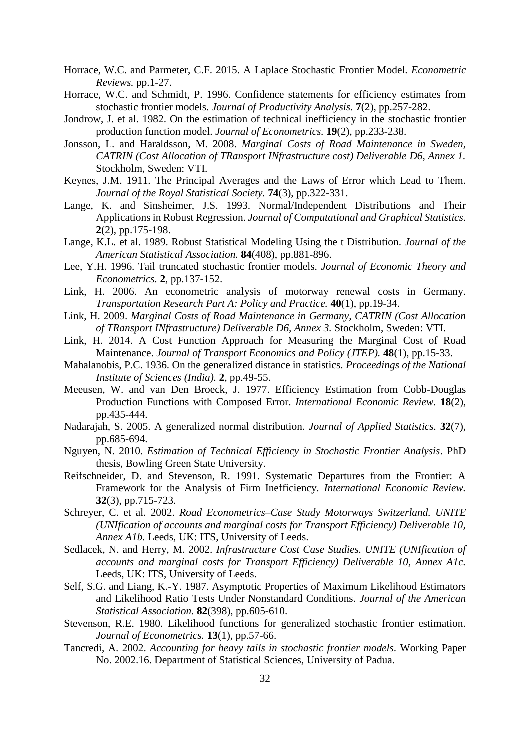- Horrace, W.C. and Parmeter, C.F. 2015. A Laplace Stochastic Frontier Model. *Econometric Reviews.* pp.1-27.
- Horrace, W.C. and Schmidt, P. 1996. Confidence statements for efficiency estimates from stochastic frontier models. *Journal of Productivity Analysis.* **7**(2), pp.257-282.
- Jondrow, J. et al. 1982. On the estimation of technical inefficiency in the stochastic frontier production function model. *Journal of Econometrics.* **19**(2), pp.233-238.
- Jonsson, L. and Haraldsson, M. 2008. *Marginal Costs of Road Maintenance in Sweden, CATRIN (Cost Allocation of TRansport INfrastructure cost) Deliverable D6, Annex 1.* Stockholm, Sweden: VTI.
- Keynes, J.M. 1911. The Principal Averages and the Laws of Error which Lead to Them. *Journal of the Royal Statistical Society.* **74**(3), pp.322-331.
- Lange, K. and Sinsheimer, J.S. 1993. Normal/Independent Distributions and Their Applications in Robust Regression. *Journal of Computational and Graphical Statistics.* **2**(2), pp.175-198.
- Lange, K.L. et al. 1989. Robust Statistical Modeling Using the t Distribution. *Journal of the American Statistical Association.* **84**(408), pp.881-896.
- Lee, Y.H. 1996. Tail truncated stochastic frontier models. *Journal of Economic Theory and Econometrics.* **2**, pp.137-152.
- Link, H. 2006. An econometric analysis of motorway renewal costs in Germany. *Transportation Research Part A: Policy and Practice.* **40**(1), pp.19-34.
- Link, H. 2009. *Marginal Costs of Road Maintenance in Germany, CATRIN (Cost Allocation of TRansport INfrastructure) Deliverable D6, Annex 3.* Stockholm, Sweden: VTI.
- Link, H. 2014. A Cost Function Approach for Measuring the Marginal Cost of Road Maintenance. *Journal of Transport Economics and Policy (JTEP).* **48**(1), pp.15-33.
- Mahalanobis, P.C. 1936. On the generalized distance in statistics. *Proceedings of the National Institute of Sciences (India).* **2**, pp.49-55.
- Meeusen, W. and van Den Broeck, J. 1977. Efficiency Estimation from Cobb-Douglas Production Functions with Composed Error. *International Economic Review.* **18**(2), pp.435-444.
- Nadarajah, S. 2005. A generalized normal distribution. *Journal of Applied Statistics.* **32**(7), pp.685-694.
- Nguyen, N. 2010. *Estimation of Technical Efficiency in Stochastic Frontier Analysis*. PhD thesis, Bowling Green State University.
- Reifschneider, D. and Stevenson, R. 1991. Systematic Departures from the Frontier: A Framework for the Analysis of Firm Inefficiency. *International Economic Review.* **32**(3), pp.715-723.
- Schreyer, C. et al. 2002. *Road Econometrics–Case Study Motorways Switzerland. UNITE (UNIfication of accounts and marginal costs for Transport Efficiency) Deliverable 10, Annex A1b.* Leeds, UK: ITS, University of Leeds.
- Sedlacek, N. and Herry, M. 2002. *Infrastructure Cost Case Studies. UNITE (UNIfication of accounts and marginal costs for Transport Efficiency) Deliverable 10, Annex A1c.* Leeds, UK: ITS, University of Leeds.
- Self, S.G. and Liang, K.-Y. 1987. Asymptotic Properties of Maximum Likelihood Estimators and Likelihood Ratio Tests Under Nonstandard Conditions. *Journal of the American Statistical Association.* **82**(398), pp.605-610.
- Stevenson, R.E. 1980. Likelihood functions for generalized stochastic frontier estimation. *Journal of Econometrics.* **13**(1), pp.57-66.
- Tancredi, A. 2002. *Accounting for heavy tails in stochastic frontier models*. Working Paper No. 2002.16. Department of Statistical Sciences, University of Padua.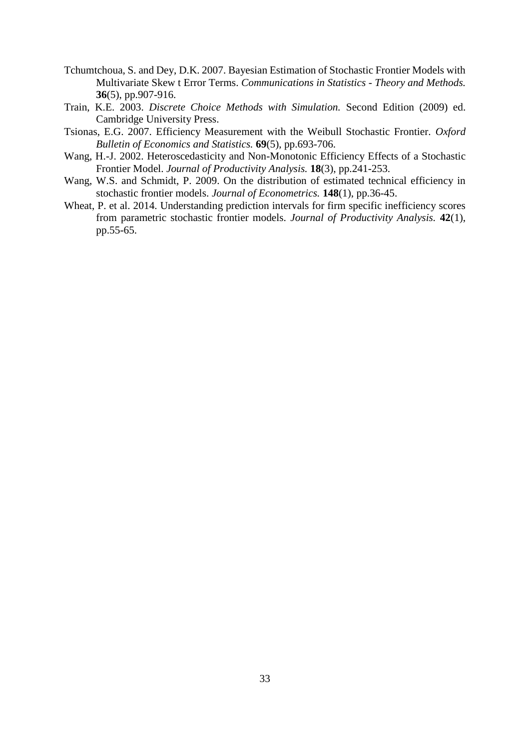- Tchumtchoua, S. and Dey, D.K. 2007. Bayesian Estimation of Stochastic Frontier Models with Multivariate Skew t Error Terms. *Communications in Statistics - Theory and Methods.* **36**(5), pp.907-916.
- Train, K.E. 2003. *Discrete Choice Methods with Simulation.* Second Edition (2009) ed. Cambridge University Press.
- Tsionas, E.G. 2007. Efficiency Measurement with the Weibull Stochastic Frontier. *Oxford Bulletin of Economics and Statistics.* **69**(5), pp.693-706.
- Wang, H.-J. 2002. Heteroscedasticity and Non-Monotonic Efficiency Effects of a Stochastic Frontier Model. *Journal of Productivity Analysis.* **18**(3), pp.241-253.
- Wang, W.S. and Schmidt, P. 2009. On the distribution of estimated technical efficiency in stochastic frontier models. *Journal of Econometrics.* **148**(1), pp.36-45.
- Wheat, P. et al. 2014. Understanding prediction intervals for firm specific inefficiency scores from parametric stochastic frontier models. *Journal of Productivity Analysis.* **42**(1), pp.55-65.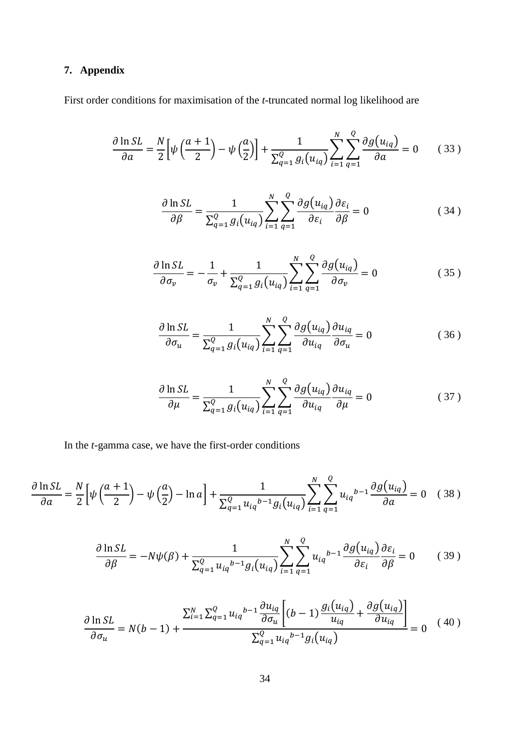# **7. Appendix**

First order conditions for maximisation of the *t*-truncated normal log likelihood are

$$
\frac{\partial \ln SL}{\partial a} = \frac{N}{2} \left[ \psi \left( \frac{a+1}{2} \right) - \psi \left( \frac{a}{2} \right) \right] + \frac{1}{\sum_{q=1}^{Q} g_i(u_{iq})} \sum_{i=1}^{N} \sum_{q=1}^{Q} \frac{\partial g(u_{iq})}{\partial a} = 0 \quad (33)
$$

$$
\frac{\partial \ln SL}{\partial \beta} = \frac{1}{\sum_{q=1}^{Q} g_i(u_{iq})} \sum_{i=1}^{N} \sum_{q=1}^{Q} \frac{\partial g(u_{iq})}{\partial \varepsilon_i} \frac{\partial \varepsilon_i}{\partial \beta} = 0
$$
\n(34)

$$
\frac{\partial \ln SL}{\partial \sigma_v} = -\frac{1}{\sigma_v} + \frac{1}{\sum_{q=1}^Q g_i(u_{iq})} \sum_{i=1}^N \sum_{q=1}^Q \frac{\partial g(u_{iq})}{\partial \sigma_v} = 0 \tag{35}
$$

$$
\frac{\partial \ln SL}{\partial \sigma_u} = \frac{1}{\sum_{q=1}^Q g_i(u_{iq})} \sum_{i=1}^N \sum_{q=1}^Q \frac{\partial g(u_{iq})}{\partial u_{iq}} \frac{\partial u_{iq}}{\partial \sigma_u} = 0 \tag{36}
$$

$$
\frac{\partial \ln SL}{\partial \mu} = \frac{1}{\sum_{q=1}^{Q} g_i(u_{iq})} \sum_{i=1}^{N} \sum_{q=1}^{Q} \frac{\partial g(u_{iq})}{\partial u_{iq}} \frac{\partial u_{iq}}{\partial \mu} = 0
$$
\n(37)

In the *t*-gamma case, we have the first-order conditions

$$
\frac{\partial \ln SL}{\partial a} = \frac{N}{2} \Big[ \psi \Big( \frac{a+1}{2} \Big) - \psi \Big( \frac{a}{2} \Big) - \ln a \Big] + \frac{1}{\sum_{q=1}^{Q} u_{iq}^{b-1} g_i(u_{iq})} \sum_{i=1}^{N} \sum_{q=1}^{Q} u_{iq}^{b-1} \frac{\partial g(u_{iq})}{\partial a} = 0 \quad (38)
$$

$$
\frac{\partial \ln SL}{\partial \beta} = -N\psi(\beta) + \frac{1}{\sum_{q=1}^{Q} u_{iq}^{b-1} g_i(u_{iq})} \sum_{i=1}^{N} \sum_{q=1}^{Q} u_{iq}^{b-1} \frac{\partial g(u_{iq})}{\partial \varepsilon_i} \frac{\partial \varepsilon_i}{\partial \beta} = 0 \quad (39)
$$

$$
\frac{\partial \ln SL}{\partial \sigma_u} = N(b-1) + \frac{\sum_{i=1}^{N} \sum_{q=1}^{Q} u_{iq}^{b-1} \frac{\partial u_{iq}}{\partial \sigma_u} \left[ (b-1) \frac{g_i(u_{iq})}{u_{iq}} + \frac{\partial g(u_{iq})}{\partial u_{iq}} \right]}{\sum_{q=1}^{Q} u_{iq}^{b-1} g_i(u_{iq})} = 0 \quad (40)
$$